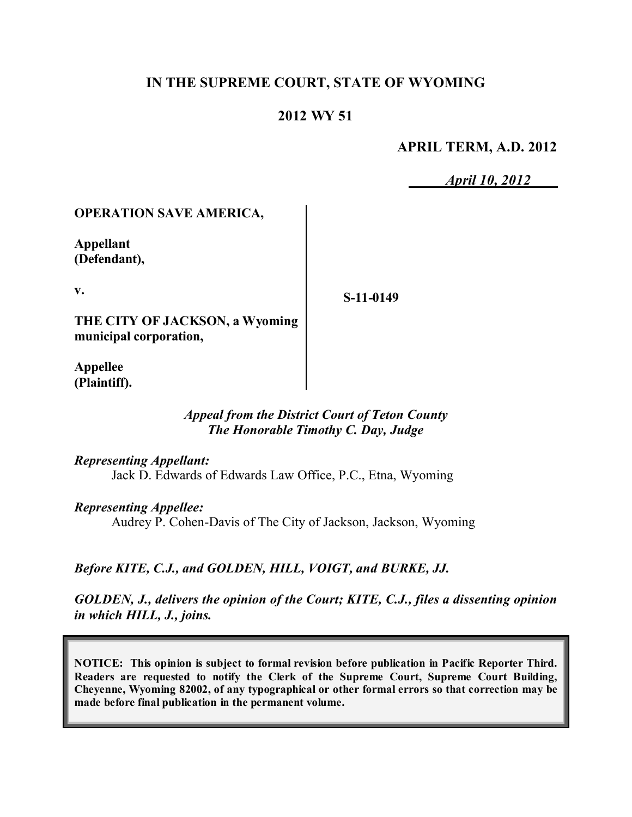### **IN THE SUPREME COURT, STATE OF WYOMING**

### **2012 WY 51**

#### **APRIL TERM, A.D. 2012**

*April 10, 2012*

#### **OPERATION SAVE AMERICA,**

**Appellant (Defendant),**

**v.**

**S-11-0149**

**THE CITY OF JACKSON, a Wyoming municipal corporation,**

**Appellee (Plaintiff).**

#### *Appeal from the District Court of Teton County The Honorable Timothy C. Day, Judge*

*Representing Appellant:*

Jack D. Edwards of Edwards Law Office, P.C., Etna, Wyoming

*Representing Appellee:*

Audrey P. Cohen-Davis of The City of Jackson, Jackson, Wyoming

*Before KITE, C.J., and GOLDEN, HILL, VOIGT, and BURKE, JJ.*

*GOLDEN, J., delivers the opinion of the Court; KITE, C.J., files a dissenting opinion in which HILL, J., joins.*

**NOTICE: This opinion is subject to formal revision before publication in Pacific Reporter Third. Readers are requested to notify the Clerk of the Supreme Court, Supreme Court Building, Cheyenne, Wyoming 82002, of any typographical or other formal errors so that correction may be made before final publication in the permanent volume.**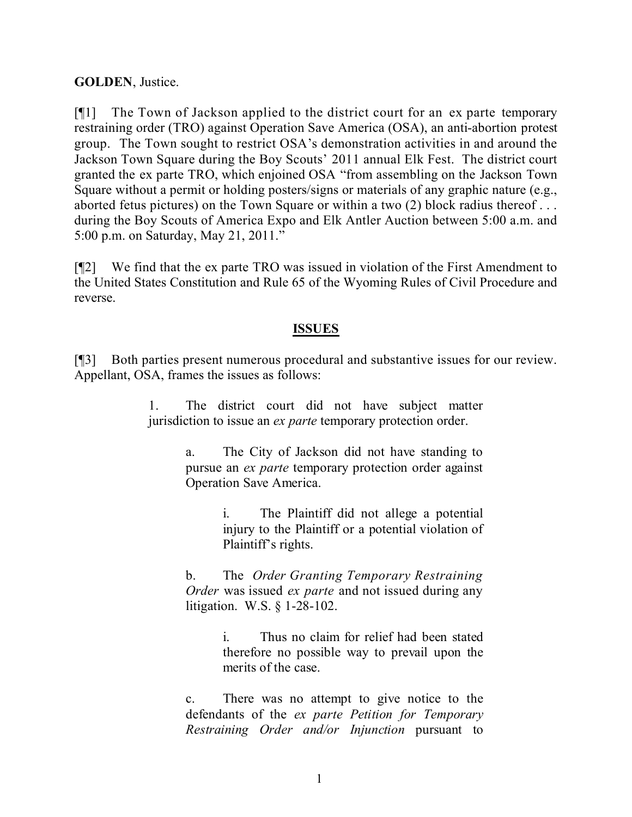#### **GOLDEN**, Justice.

[¶1] The Town of Jackson applied to the district court for an ex parte temporary restraining order (TRO) against Operation Save America (OSA), an anti-abortion protest group. The Town sought to restrict OSA's demonstration activities in and around the Jackson Town Square during the Boy Scouts' 2011 annual Elk Fest. The district court granted the ex parte TRO, which enjoined OSA "from assembling on the Jackson Town Square without a permit or holding posters/signs or materials of any graphic nature (e.g., aborted fetus pictures) on the Town Square or within a two (2) block radius thereof . . . during the Boy Scouts of America Expo and Elk Antler Auction between 5:00 a.m. and 5:00 p.m. on Saturday, May 21, 2011."

[¶2] We find that the ex parte TRO was issued in violation of the First Amendment to the United States Constitution and Rule 65 of the Wyoming Rules of Civil Procedure and reverse.

#### **ISSUES**

[¶3] Both parties present numerous procedural and substantive issues for our review. Appellant, OSA, frames the issues as follows:

> 1. The district court did not have subject matter jurisdiction to issue an *ex parte* temporary protection order.

> > a. The City of Jackson did not have standing to pursue an *ex parte* temporary protection order against Operation Save America.

> > > i. The Plaintiff did not allege a potential injury to the Plaintiff or a potential violation of Plaintiff's rights.

b. The *Order Granting Temporary Restraining Order* was issued *ex parte* and not issued during any litigation. W.S. § 1-28-102.

> i. Thus no claim for relief had been stated therefore no possible way to prevail upon the merits of the case.

c. There was no attempt to give notice to the defendants of the *ex parte Petition for Temporary Restraining Order and/or Injunction* pursuant to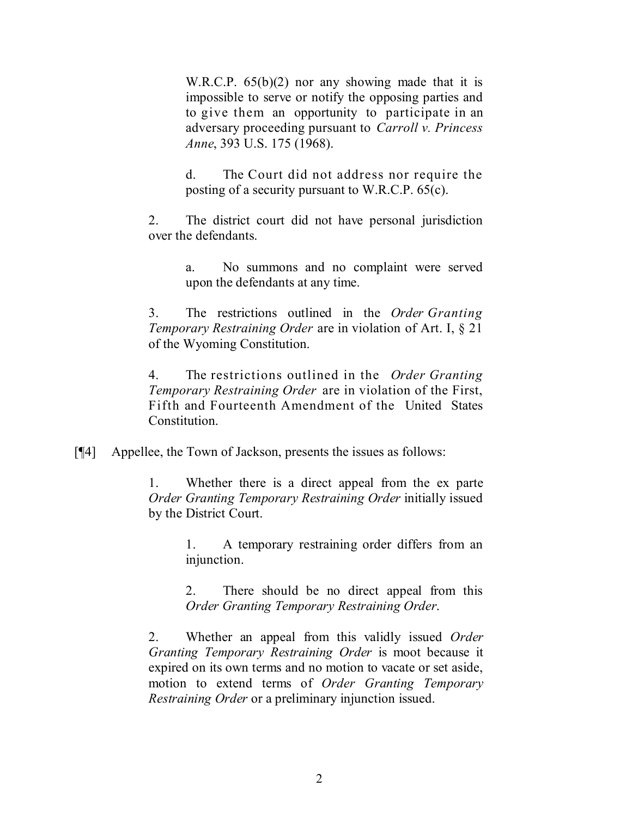W.R.C.P.  $65(b)(2)$  nor any showing made that it is impossible to serve or notify the opposing parties and to give them an opportunity to participate in an adversary proceeding pursuant to *Carroll v. Princess Anne*, 393 U.S. 175 (1968).

d. The Court did not address nor require the posting of a security pursuant to W.R.C.P. 65(c).

2. The district court did not have personal jurisdiction over the defendants.

> a. No summons and no complaint were served upon the defendants at any time.

3. The restrictions outlined in the *Order Granting Temporary Restraining Order* are in violation of Art. I, § 21 of the Wyoming Constitution.

4. The restrictions outlined in the *Order Granting Temporary Restraining Order* are in violation of the First, Fifth and Fourteenth Amendment of the United States Constitution.

[¶4] Appellee, the Town of Jackson, presents the issues as follows:

1. Whether there is a direct appeal from the ex parte *Order Granting Temporary Restraining Order* initially issued by the District Court.

> 1. A temporary restraining order differs from an injunction.

> 2. There should be no direct appeal from this *Order Granting Temporary Restraining Order*.

2. Whether an appeal from this validly issued *Order Granting Temporary Restraining Order* is moot because it expired on its own terms and no motion to vacate or set aside, motion to extend terms of *Order Granting Temporary Restraining Order* or a preliminary injunction issued.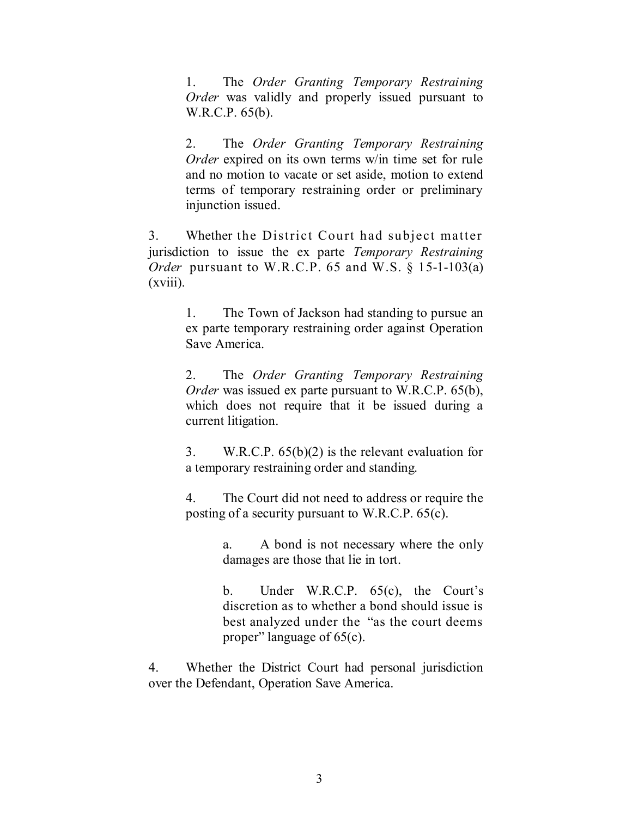1. The *Order Granting Temporary Restraining Order* was validly and properly issued pursuant to W.R.C.P. 65(b).

2. The *Order Granting Temporary Restraining Order* expired on its own terms w/in time set for rule and no motion to vacate or set aside, motion to extend terms of temporary restraining order or preliminary injunction issued.

3. Whether the District Court had subject matter jurisdiction to issue the ex parte *Temporary Restraining Order* pursuant to W.R.C.P. 65 and W.S. § 15-1-103(a)  $(xviii)$ .

> 1. The Town of Jackson had standing to pursue an ex parte temporary restraining order against Operation Save America.

> 2. The *Order Granting Temporary Restraining Order* was issued ex parte pursuant to W.R.C.P. 65(b), which does not require that it be issued during a current litigation.

> 3. W.R.C.P. 65(b)(2) is the relevant evaluation for a temporary restraining order and standing.

> 4. The Court did not need to address or require the posting of a security pursuant to W.R.C.P. 65(c).

> > a. A bond is not necessary where the only damages are those that lie in tort.

> > b. Under W.R.C.P. 65(c), the Court's discretion as to whether a bond should issue is best analyzed under the "as the court deems proper" language of 65(c).

4. Whether the District Court had personal jurisdiction over the Defendant, Operation Save America.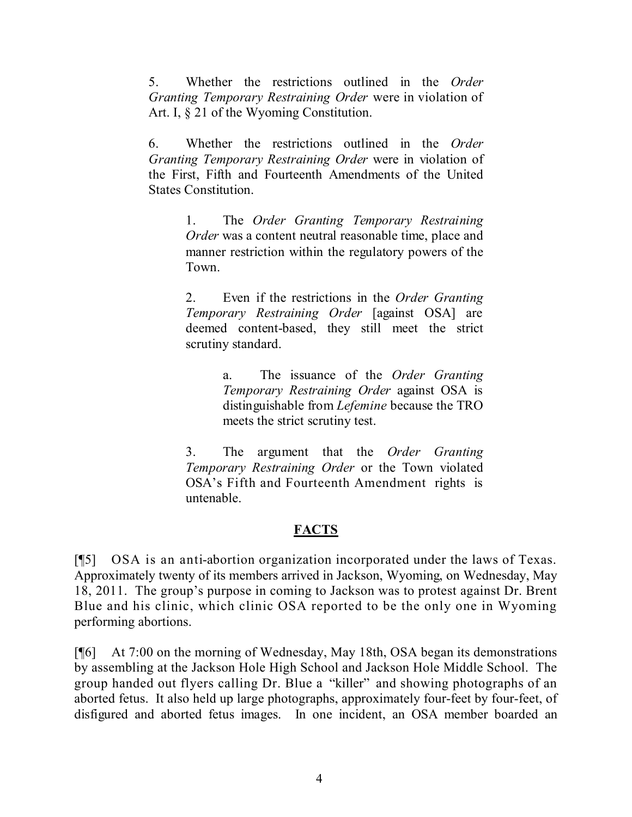5. Whether the restrictions outlined in the *Order Granting Temporary Restraining Order* were in violation of Art. I, § 21 of the Wyoming Constitution.

6. Whether the restrictions outlined in the *Order Granting Temporary Restraining Order* were in violation of the First, Fifth and Fourteenth Amendments of the United States Constitution.

> 1. The *Order Granting Temporary Restraining Order* was a content neutral reasonable time, place and manner restriction within the regulatory powers of the Town.

> 2. Even if the restrictions in the *Order Granting Temporary Restraining Order* [against OSA] are deemed content-based, they still meet the strict scrutiny standard.

> > a. The issuance of the *Order Granting Temporary Restraining Order* against OSA is distinguishable from *Lefemine* because the TRO meets the strict scrutiny test.

3. The argument that the *Order Granting Temporary Restraining Order* or the Town violated OSA's Fifth and Fourteenth Amendment rights is untenable.

## **FACTS**

[¶5] OSA is an anti-abortion organization incorporated under the laws of Texas. Approximately twenty of its members arrived in Jackson, Wyoming, on Wednesday, May 18, 2011. The group's purpose in coming to Jackson was to protest against Dr. Brent Blue and his clinic, which clinic OSA reported to be the only one in Wyoming performing abortions.

[¶6] At 7:00 on the morning of Wednesday, May 18th, OSA began its demonstrations by assembling at the Jackson Hole High School and Jackson Hole Middle School. The group handed out flyers calling Dr. Blue a "killer" and showing photographs of an aborted fetus. It also held up large photographs, approximately four-feet by four-feet, of disfigured and aborted fetus images. In one incident, an OSA member boarded an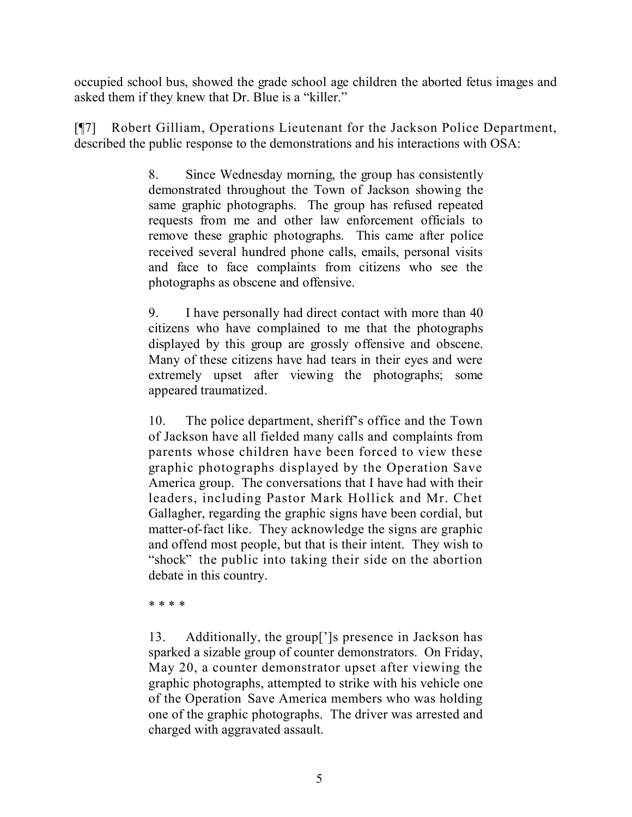occupied school bus, showed the grade school age children the aborted fetus images and asked them if they knew that Dr. Blue is a "killer."

[¶7] Robert Gilliam, Operations Lieutenant for the Jackson Police Department, described the public response to the demonstrations and his interactions with OSA:

> 8. Since Wednesday morning, the group has consistently demonstrated throughout the Town of Jackson showing the same graphic photographs. The group has refused repeated requests from me and other law enforcement officials to remove these graphic photographs. This came after police received several hundred phone calls, emails, personal visits and face to face complaints from citizens who see the photographs as obscene and offensive.

> 9. I have personally had direct contact with more than 40 citizens who have complained to me that the photographs displayed by this group are grossly offensive and obscene. Many of these citizens have had tears in their eyes and were extremely upset after viewing the photographs; some appeared traumatized.

> 10. The police department, sheriff's office and the Town of Jackson have all fielded many calls and complaints from parents whose children have been forced to view these graphic photographs displayed by the Operation Save America group. The conversations that I have had with their leaders, including Pastor Mark Hollick and Mr. Chet Gallagher, regarding the graphic signs have been cordial, but matter-of-fact like. They acknowledge the signs are graphic and offend most people, but that is their intent. They wish to "shock" the public into taking their side on the abortion debate in this country.

\* \* \* \*

13. Additionally, the group[']s presence in Jackson has sparked a sizable group of counter demonstrators. On Friday, May 20, a counter demonstrator upset after viewing the graphic photographs, attempted to strike with his vehicle one of the Operation Save America members who was holding one of the graphic photographs. The driver was arrested and charged with aggravated assault.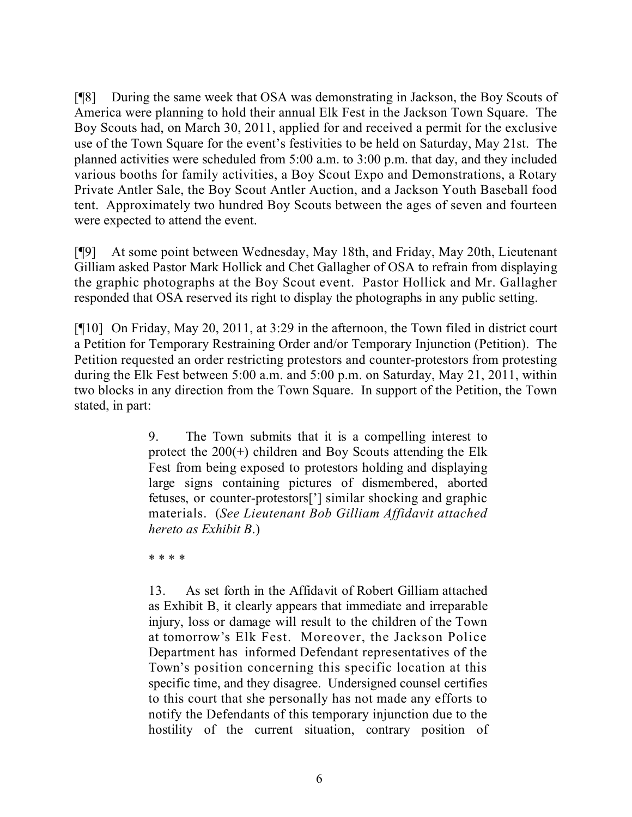[¶8] During the same week that OSA was demonstrating in Jackson, the Boy Scouts of America were planning to hold their annual Elk Fest in the Jackson Town Square. The Boy Scouts had, on March 30, 2011, applied for and received a permit for the exclusive use of the Town Square for the event's festivities to be held on Saturday, May 21st. The planned activities were scheduled from 5:00 a.m. to 3:00 p.m. that day, and they included various booths for family activities, a Boy Scout Expo and Demonstrations, a Rotary Private Antler Sale, the Boy Scout Antler Auction, and a Jackson Youth Baseball food tent. Approximately two hundred Boy Scouts between the ages of seven and fourteen were expected to attend the event.

[¶9] At some point between Wednesday, May 18th, and Friday, May 20th, Lieutenant Gilliam asked Pastor Mark Hollick and Chet Gallagher of OSA to refrain from displaying the graphic photographs at the Boy Scout event. Pastor Hollick and Mr. Gallagher responded that OSA reserved its right to display the photographs in any public setting.

[¶10] On Friday, May 20, 2011, at 3:29 in the afternoon, the Town filed in district court a Petition for Temporary Restraining Order and/or Temporary Injunction (Petition). The Petition requested an order restricting protestors and counter-protestors from protesting during the Elk Fest between 5:00 a.m. and 5:00 p.m. on Saturday, May 21, 2011, within two blocks in any direction from the Town Square. In support of the Petition, the Town stated, in part:

> 9. The Town submits that it is a compelling interest to protect the 200(+) children and Boy Scouts attending the Elk Fest from being exposed to protestors holding and displaying large signs containing pictures of dismembered, aborted fetuses, or counter-protestors['] similar shocking and graphic materials. (*See Lieutenant Bob Gilliam Affidavit attached hereto as Exhibit B*.)

\* \* \* \*

13. As set forth in the Affidavit of Robert Gilliam attached as Exhibit B, it clearly appears that immediate and irreparable injury, loss or damage will result to the children of the Town at tomorrow's Elk Fest. Moreover, the Jackson Police Department has informed Defendant representatives of the Town's position concerning this specific location at this specific time, and they disagree. Undersigned counsel certifies to this court that she personally has not made any efforts to notify the Defendants of this temporary injunction due to the hostility of the current situation, contrary position of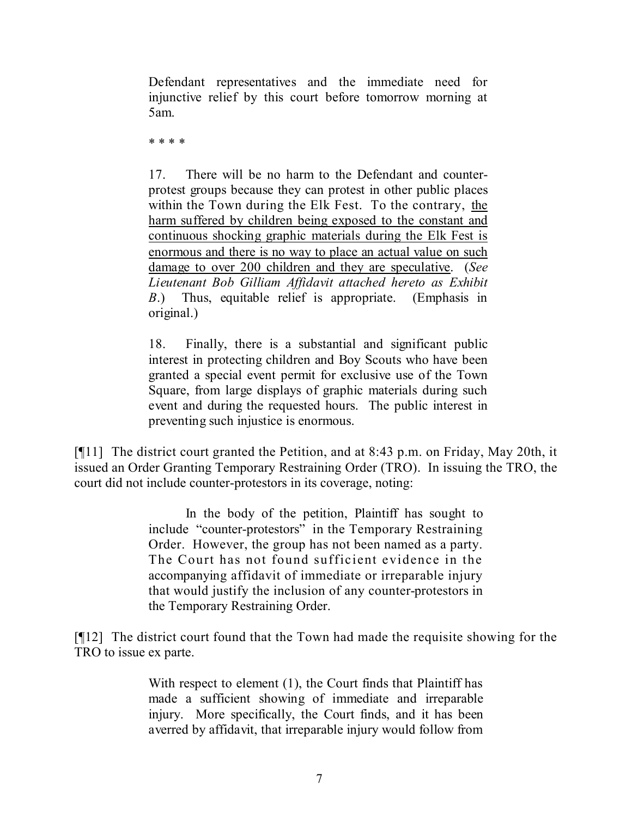Defendant representatives and the immediate need for injunctive relief by this court before tomorrow morning at 5am.

\* \* \* \*

17. There will be no harm to the Defendant and counterprotest groups because they can protest in other public places within the Town during the Elk Fest. To the contrary, the harm suffered by children being exposed to the constant and continuous shocking graphic materials during the Elk Fest is enormous and there is no way to place an actual value on such damage to over 200 children and they are speculative. (*See Lieutenant Bob Gilliam Affidavit attached hereto as Exhibit B*.) Thus, equitable relief is appropriate. (Emphasis in original.)

18. Finally, there is a substantial and significant public interest in protecting children and Boy Scouts who have been granted a special event permit for exclusive use of the Town Square, from large displays of graphic materials during such event and during the requested hours. The public interest in preventing such injustice is enormous.

[¶11] The district court granted the Petition, and at 8:43 p.m. on Friday, May 20th, it issued an Order Granting Temporary Restraining Order (TRO). In issuing the TRO, the court did not include counter-protestors in its coverage, noting:

> In the body of the petition, Plaintiff has sought to include "counter-protestors" in the Temporary Restraining Order. However, the group has not been named as a party. The Court has not found sufficient evidence in the accompanying affidavit of immediate or irreparable injury that would justify the inclusion of any counter-protestors in the Temporary Restraining Order.

[¶12] The district court found that the Town had made the requisite showing for the TRO to issue ex parte.

> With respect to element (1), the Court finds that Plaintiff has made a sufficient showing of immediate and irreparable injury. More specifically, the Court finds, and it has been averred by affidavit, that irreparable injury would follow from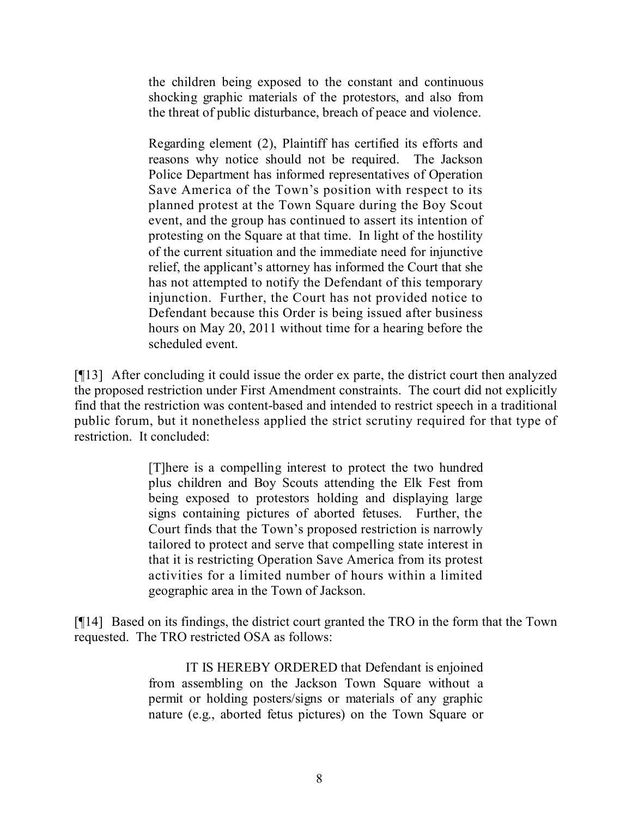the children being exposed to the constant and continuous shocking graphic materials of the protestors, and also from the threat of public disturbance, breach of peace and violence.

Regarding element (2), Plaintiff has certified its efforts and reasons why notice should not be required. The Jackson Police Department has informed representatives of Operation Save America of the Town's position with respect to its planned protest at the Town Square during the Boy Scout event, and the group has continued to assert its intention of protesting on the Square at that time. In light of the hostility of the current situation and the immediate need for injunctive relief, the applicant's attorney has informed the Court that she has not attempted to notify the Defendant of this temporary injunction. Further, the Court has not provided notice to Defendant because this Order is being issued after business hours on May 20, 2011 without time for a hearing before the scheduled event.

[¶13] After concluding it could issue the order ex parte, the district court then analyzed the proposed restriction under First Amendment constraints. The court did not explicitly find that the restriction was content-based and intended to restrict speech in a traditional public forum, but it nonetheless applied the strict scrutiny required for that type of restriction. It concluded:

> [T]here is a compelling interest to protect the two hundred plus children and Boy Scouts attending the Elk Fest from being exposed to protestors holding and displaying large signs containing pictures of aborted fetuses. Further, the Court finds that the Town's proposed restriction is narrowly tailored to protect and serve that compelling state interest in that it is restricting Operation Save America from its protest activities for a limited number of hours within a limited geographic area in the Town of Jackson.

[¶14] Based on its findings, the district court granted the TRO in the form that the Town requested. The TRO restricted OSA as follows:

> IT IS HEREBY ORDERED that Defendant is enjoined from assembling on the Jackson Town Square without a permit or holding posters/signs or materials of any graphic nature (e.g., aborted fetus pictures) on the Town Square or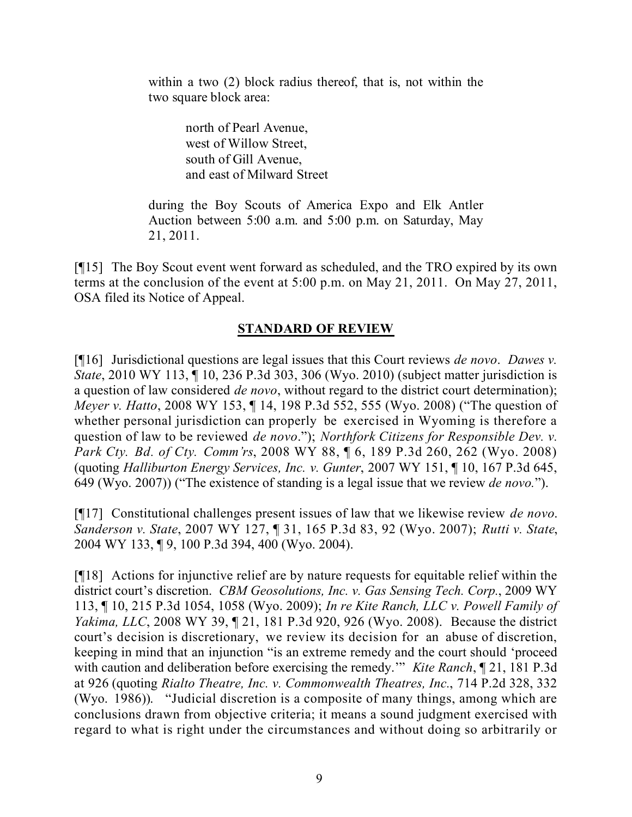within a two (2) block radius thereof, that is, not within the two square block area:

> north of Pearl Avenue, west of Willow Street, south of Gill Avenue, and east of Milward Street

during the Boy Scouts of America Expo and Elk Antler Auction between 5:00 a.m. and 5:00 p.m. on Saturday, May 21, 2011.

[¶15] The Boy Scout event went forward as scheduled, and the TRO expired by its own terms at the conclusion of the event at 5:00 p.m. on May 21, 2011. On May 27, 2011, OSA filed its Notice of Appeal.

### **STANDARD OF REVIEW**

[¶16] Jurisdictional questions are legal issues that this Court reviews *de novo*. *Dawes v. State*, 2010 WY 113, ¶ 10, 236 P.3d 303, 306 (Wyo. 2010) (subject matter jurisdiction is a question of law considered *de novo*, without regard to the district court determination); *Meyer v. Hatto*, 2008 WY 153, ¶ 14, 198 P.3d 552, 555 (Wyo. 2008) ("The question of whether personal jurisdiction can properly be exercised in Wyoming is therefore a question of law to be reviewed *de novo*."); *Northfork Citizens for Responsible Dev. v. Park Cty. Bd. of Cty. Comm'rs*, 2008 WY 88, ¶ 6, 189 P.3d 260, 262 (Wyo. 2008) (quoting *Halliburton Energy Services, Inc. v. Gunter*, 2007 WY 151, ¶ 10, 167 P.3d 645, 649 (Wyo. 2007)) ("The existence of standing is a legal issue that we review *de novo.*").

[¶17] Constitutional challenges present issues of law that we likewise review *de novo*. *Sanderson v. State*, 2007 WY 127, ¶ 31, 165 P.3d 83, 92 (Wyo. 2007); *Rutti v. State*, 2004 WY 133, ¶ 9, 100 P.3d 394, 400 (Wyo. 2004).

[¶18] Actions for injunctive relief are by nature requests for equitable relief within the district court's discretion. *CBM Geosolutions, Inc. v. Gas Sensing Tech. Corp.*, 2009 WY 113, ¶ 10, 215 P.3d 1054, 1058 (Wyo. 2009); *In re Kite Ranch, LLC v. Powell Family of Yakima, LLC*, 2008 WY 39, ¶ 21, 181 P.3d 920, 926 (Wyo. 2008). Because the district court's decision is discretionary, we review its decision for an abuse of discretion, keeping in mind that an injunction "is an extreme remedy and the court should 'proceed with caution and deliberation before exercising the remedy.'" *Kite Ranch*, ¶ 21, 181 P.3d at 926 (quoting *Rialto Theatre, Inc. v. Commonwealth Theatres, Inc.*, 714 P.2d 328, 332 (Wyo. 1986)). "Judicial discretion is a composite of many things, among which are conclusions drawn from objective criteria; it means a sound judgment exercised with regard to what is right under the circumstances and without doing so arbitrarily or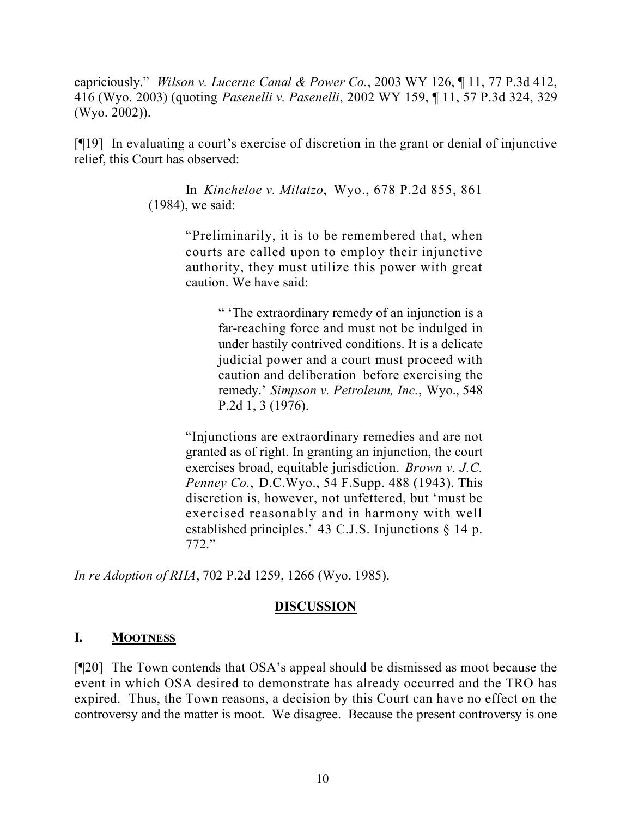capriciously." *Wilson v. Lucerne Canal & Power Co.*, 2003 WY 126, ¶ 11, 77 P.3d 412, 416 (Wyo. 2003) (quoting *Pasenelli v. Pasenelli*, 2002 WY 159, ¶ 11, 57 P.3d 324, 329 (Wyo. 2002)).

[¶19] In evaluating a court's exercise of discretion in the grant or denial of injunctive relief, this Court has observed:

> In *Kincheloe v. Milatzo*, Wyo., 678 P.2d 855, 861 (1984), we said:

> > "Preliminarily, it is to be remembered that, when courts are called upon to employ their injunctive authority, they must utilize this power with great caution. We have said:

> > > " 'The extraordinary remedy of an injunction is a far-reaching force and must not be indulged in under hastily contrived conditions. It is a delicate judicial power and a court must proceed with caution and deliberation before exercising the remedy.' *Simpson v. Petroleum, Inc.*, Wyo., 548 P.2d 1, 3 (1976).

"Injunctions are extraordinary remedies and are not granted as of right. In granting an injunction, the court exercises broad, equitable jurisdiction. *Brown v. J.C. Penney Co.*, D.C.Wyo., 54 F.Supp. 488 (1943). This discretion is, however, not unfettered, but 'must be exercised reasonably and in harmony with well established principles.' 43 C.J.S. Injunctions § 14 p. 772."

*In re Adoption of RHA*, 702 P.2d 1259, 1266 (Wyo. 1985).

### **DISCUSSION**

## **I. MOOTNESS**

[¶20] The Town contends that OSA's appeal should be dismissed as moot because the event in which OSA desired to demonstrate has already occurred and the TRO has expired. Thus, the Town reasons, a decision by this Court can have no effect on the controversy and the matter is moot. We disagree. Because the present controversy is one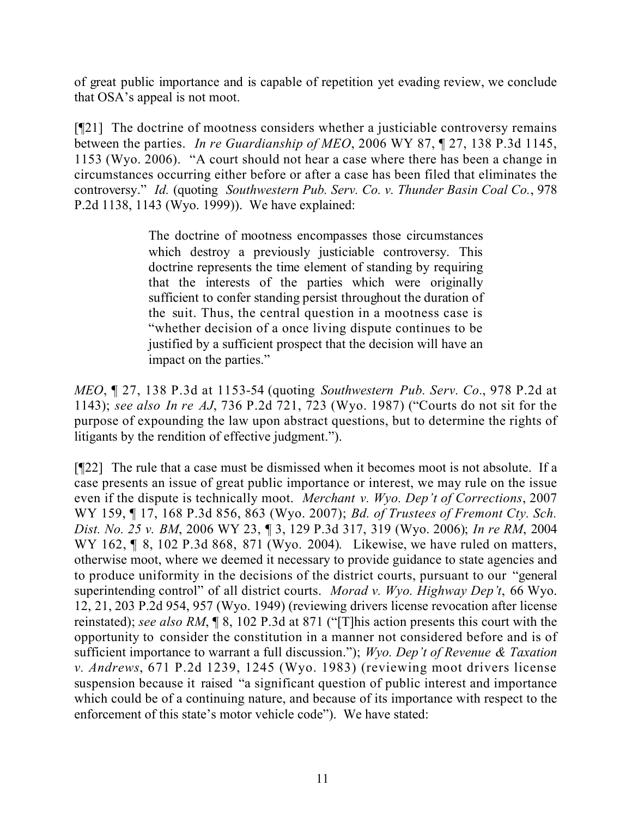of great public importance and is capable of repetition yet evading review, we conclude that OSA's appeal is not moot.

[¶21] The doctrine of mootness considers whether a justiciable controversy remains between the parties. *In re Guardianship of MEO*, 2006 WY 87, ¶ 27, 138 P.3d 1145, 1153 (Wyo. 2006). "A court should not hear a case where there has been a change in circumstances occurring either before or after a case has been filed that eliminates the controversy." *Id.* (quoting *Southwestern Pub. Serv. Co. v. Thunder Basin Coal Co.*, 978 P.2d 1138, 1143 (Wyo. 1999)). We have explained:

> The doctrine of mootness encompasses those circumstances which destroy a previously justiciable controversy. This doctrine represents the time element of standing by requiring that the interests of the parties which were originally sufficient to confer standing persist throughout the duration of the suit. Thus, the central question in a mootness case is "whether decision of a once living dispute continues to be justified by a sufficient prospect that the decision will have an impact on the parties."

*MEO*, ¶ 27, 138 P.3d at 1153-54 (quoting *Southwestern Pub. Serv. Co.*, 978 P.2d at 1143); *see also In re AJ*, 736 P.2d 721, 723 (Wyo. 1987) ("Courts do not sit for the purpose of expounding the law upon abstract questions, but to determine the rights of litigants by the rendition of effective judgment.").

[¶22] The rule that a case must be dismissed when it becomes moot is not absolute. If a case presents an issue of great public importance or interest, we may rule on the issue even if the dispute is technically moot. *Merchant v. Wyo. Dep't of Corrections*, 2007 WY 159, ¶ 17, 168 P.3d 856, 863 (Wyo. 2007); *Bd. of Trustees of Fremont Cty. Sch. Dist. No. 25 v. BM*, 2006 WY 23, ¶ 3, 129 P.3d 317, 319 (Wyo. 2006); *In re RM*, 2004 WY 162, ¶ 8, 102 P.3d 868, 871 (Wyo. 2004). Likewise, we have ruled on matters, otherwise moot, where we deemed it necessary to provide guidance to state agencies and to produce uniformity in the decisions of the district courts, pursuant to our "general superintending control" of all district courts. *Morad v. Wyo. Highway Dep't*, 66 Wyo. 12, 21, 203 P.2d 954, 957 (Wyo. 1949) (reviewing drivers license revocation after license reinstated); *see also RM*, ¶ 8, 102 P.3d at 871 ("[T]his action presents this court with the opportunity to consider the constitution in a manner not considered before and is of sufficient importance to warrant a full discussion."); *Wyo. Dep't of Revenue & Taxation v. Andrews*, 671 P.2d 1239, 1245 (Wyo. 1983) (reviewing moot drivers license suspension because it raised "a significant question of public interest and importance which could be of a continuing nature, and because of its importance with respect to the enforcement of this state's motor vehicle code"). We have stated: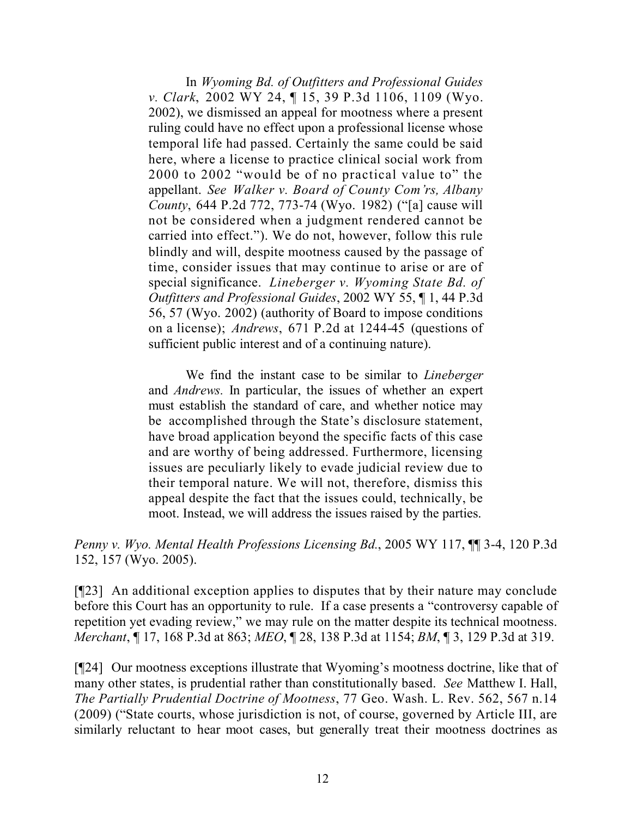In *Wyoming Bd. of Outfitters and Professional Guides v. Clark*, 2002 WY 24, ¶ 15, 39 P.3d 1106, 1109 (Wyo. 2002), we dismissed an appeal for mootness where a present ruling could have no effect upon a professional license whose temporal life had passed. Certainly the same could be said here, where a license to practice clinical social work from 2000 to 2002 "would be of no practical value to" the appellant. *See Walker v. Board of County Com'rs, Albany County*, 644 P.2d 772, 773-74 (Wyo. 1982) ("[a] cause will not be considered when a judgment rendered cannot be carried into effect."). We do not, however, follow this rule blindly and will, despite mootness caused by the passage of time, consider issues that may continue to arise or are of special significance. *Lineberger v. Wyoming State Bd. of Outfitters and Professional Guides*, 2002 WY 55, ¶ 1, 44 P.3d 56, 57 (Wyo. 2002) (authority of Board to impose conditions on a license); *Andrews*, 671 P.2d at 1244-45 (questions of sufficient public interest and of a continuing nature).

We find the instant case to be similar to *Lineberger* and *Andrews.* In particular, the issues of whether an expert must establish the standard of care, and whether notice may be accomplished through the State's disclosure statement, have broad application beyond the specific facts of this case and are worthy of being addressed. Furthermore, licensing issues are peculiarly likely to evade judicial review due to their temporal nature. We will not, therefore, dismiss this appeal despite the fact that the issues could, technically, be moot. Instead, we will address the issues raised by the parties.

*Penny v. Wyo. Mental Health Professions Licensing Bd.*, 2005 WY 117, ¶¶ 3-4, 120 P.3d 152, 157 (Wyo. 2005).

[¶23] An additional exception applies to disputes that by their nature may conclude before this Court has an opportunity to rule. If a case presents a "controversy capable of repetition yet evading review," we may rule on the matter despite its technical mootness. *Merchant*, ¶ 17, 168 P.3d at 863; *MEO*, ¶ 28, 138 P.3d at 1154; *BM*, ¶ 3, 129 P.3d at 319.

[¶24] Our mootness exceptions illustrate that Wyoming's mootness doctrine, like that of many other states, is prudential rather than constitutionally based. *See* Matthew I. Hall, *The Partially Prudential Doctrine of Mootness*, 77 Geo. Wash. L. Rev. 562, 567 n.14 (2009) ("State courts, whose jurisdiction is not, of course, governed by Article III, are similarly reluctant to hear moot cases, but generally treat their mootness doctrines as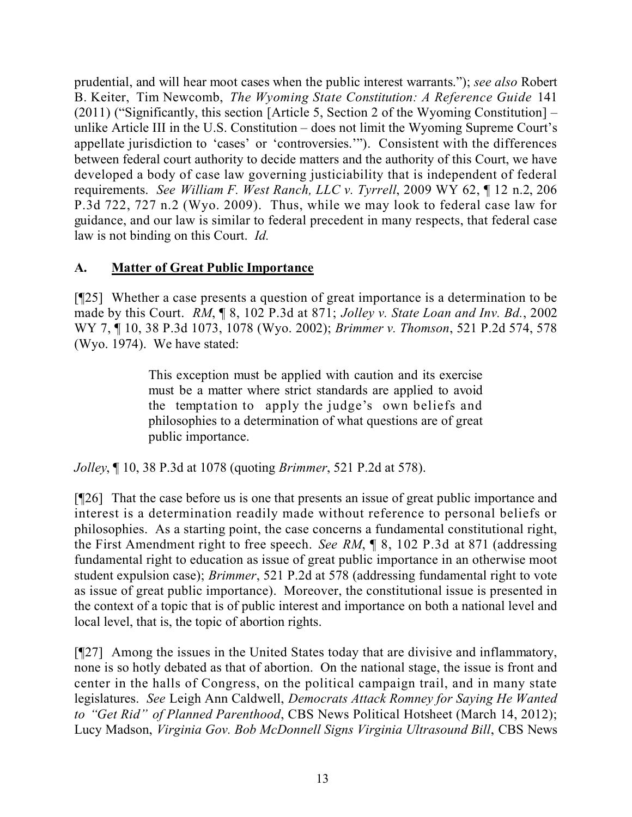prudential, and will hear moot cases when the public interest warrants."); *see also* Robert B. Keiter, Tim Newcomb, *The Wyoming State Constitution: A Reference Guide* 141 (2011) ("Significantly, this section [Article 5, Section 2 of the Wyoming Constitution] – unlike Article III in the U.S. Constitution – does not limit the Wyoming Supreme Court's appellate jurisdiction to 'cases' or 'controversies.'"). Consistent with the differences between federal court authority to decide matters and the authority of this Court, we have developed a body of case law governing justiciability that is independent of federal requirements. *See William F. West Ranch, LLC v. Tyrrell*, 2009 WY 62, ¶ 12 n.2, 206 P.3d 722, 727 n.2 (Wyo. 2009). Thus, while we may look to federal case law for guidance, and our law is similar to federal precedent in many respects, that federal case law is not binding on this Court. *Id.*

# **A. Matter of Great Public Importance**

[¶25] Whether a case presents a question of great importance is a determination to be made by this Court. *RM*, ¶ 8, 102 P.3d at 871; *Jolley v. State Loan and Inv. Bd.*, 2002 WY 7, ¶ 10, 38 P.3d 1073, 1078 (Wyo. 2002); *Brimmer v. Thomson*, 521 P.2d 574, 578 (Wyo. 1974). We have stated:

> This exception must be applied with caution and its exercise must be a matter where strict standards are applied to avoid the temptation to apply the judge's own beliefs and philosophies to a determination of what questions are of great public importance.

*Jolley*, ¶ 10, 38 P.3d at 1078 (quoting *Brimmer*, 521 P.2d at 578).

[¶26] That the case before us is one that presents an issue of great public importance and interest is a determination readily made without reference to personal beliefs or philosophies. As a starting point, the case concerns a fundamental constitutional right, the First Amendment right to free speech. *See RM*, ¶ 8, 102 P.3d at 871 (addressing fundamental right to education as issue of great public importance in an otherwise moot student expulsion case); *Brimmer*, 521 P.2d at 578 (addressing fundamental right to vote as issue of great public importance). Moreover, the constitutional issue is presented in the context of a topic that is of public interest and importance on both a national level and local level, that is, the topic of abortion rights.

[¶27] Among the issues in the United States today that are divisive and inflammatory, none is so hotly debated as that of abortion. On the national stage, the issue is front and center in the halls of Congress, on the political campaign trail, and in many state legislatures. *See* Leigh Ann Caldwell, *Democrats Attack Romney for Saying He Wanted to "Get Rid" of Planned Parenthood*, CBS News Political Hotsheet (March 14, 2012); Lucy Madson, *Virginia Gov. Bob McDonnell Signs Virginia Ultrasound Bill*, CBS News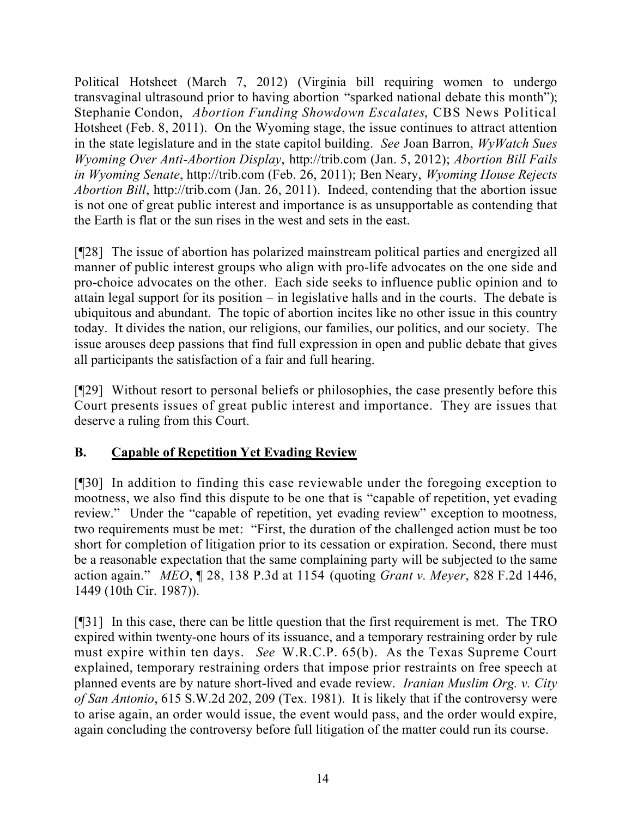Political Hotsheet (March 7, 2012) (Virginia bill requiring women to undergo transvaginal ultrasound prior to having abortion "sparked national debate this month"); Stephanie Condon, *Abortion Funding Showdown Escalates*, CBS News Political Hotsheet (Feb. 8, 2011). On the Wyoming stage, the issue continues to attract attention in the state legislature and in the state capitol building. *See* Joan Barron, *WyWatch Sues Wyoming Over Anti-Abortion Display*, http://trib.com (Jan. 5, 2012); *Abortion Bill Fails in Wyoming Senate*, http://trib.com (Feb. 26, 2011); Ben Neary, *Wyoming House Rejects Abortion Bill*, http://trib.com (Jan. 26, 2011). Indeed, contending that the abortion issue is not one of great public interest and importance is as unsupportable as contending that the Earth is flat or the sun rises in the west and sets in the east.

[¶28] The issue of abortion has polarized mainstream political parties and energized all manner of public interest groups who align with pro-life advocates on the one side and pro-choice advocates on the other. Each side seeks to influence public opinion and to attain legal support for its position – in legislative halls and in the courts. The debate is ubiquitous and abundant. The topic of abortion incites like no other issue in this country today. It divides the nation, our religions, our families, our politics, and our society. The issue arouses deep passions that find full expression in open and public debate that gives all participants the satisfaction of a fair and full hearing.

[¶29] Without resort to personal beliefs or philosophies, the case presently before this Court presents issues of great public interest and importance. They are issues that deserve a ruling from this Court.

## **B. Capable of Repetition Yet Evading Review**

[¶30] In addition to finding this case reviewable under the foregoing exception to mootness, we also find this dispute to be one that is "capable of repetition, yet evading review." Under the "capable of repetition, yet evading review" exception to mootness, two requirements must be met: "First, the duration of the challenged action must be too short for completion of litigation prior to its cessation or expiration. Second, there must be a reasonable expectation that the same complaining party will be subjected to the same action again." *MEO*, ¶ 28, 138 P.3d at 1154 (quoting *Grant v. Meyer*, 828 F.2d 1446, 1449 (10th Cir. 1987)).

[¶31] In this case, there can be little question that the first requirement is met. The TRO expired within twenty-one hours of its issuance, and a temporary restraining order by rule must expire within ten days. *See* W.R.C.P. 65(b). As the Texas Supreme Court explained, temporary restraining orders that impose prior restraints on free speech at planned events are by nature short-lived and evade review. *Iranian Muslim Org. v. City of San Antonio*, 615 S.W.2d 202, 209 (Tex. 1981). It is likely that if the controversy were to arise again, an order would issue, the event would pass, and the order would expire, again concluding the controversy before full litigation of the matter could run its course.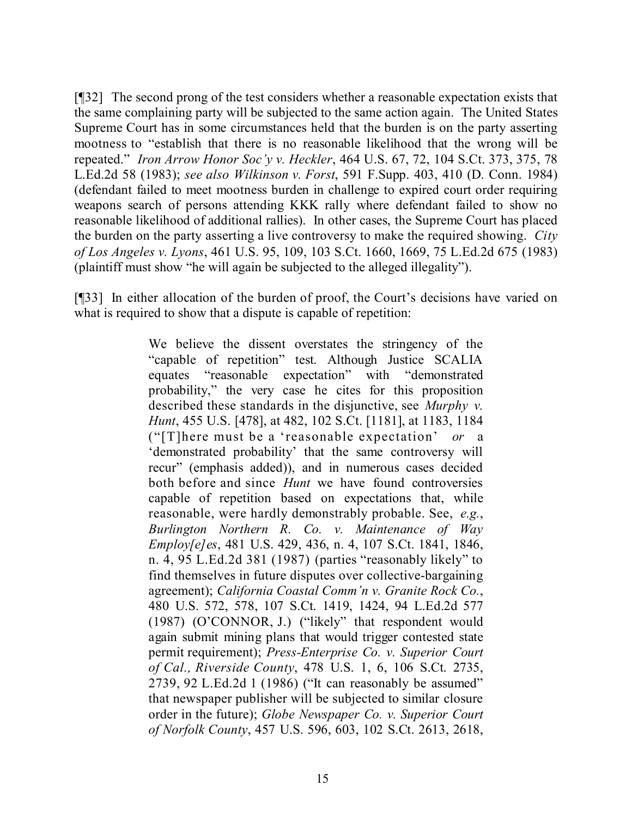[¶32] The second prong of the test considers whether a reasonable expectation exists that the same complaining party will be subjected to the same action again. The United States Supreme Court has in some circumstances held that the burden is on the party asserting mootness to "establish that there is no reasonable likelihood that the wrong will be repeated." *Iron Arrow Honor Soc'y v. Heckler*, 464 U.S. 67, 72, 104 S.Ct. 373, 375, 78 L.Ed.2d 58 (1983); *see also Wilkinson v. Forst*, 591 F.Supp. 403, 410 (D. Conn. 1984) (defendant failed to meet mootness burden in challenge to expired court order requiring weapons search of persons attending KKK rally where defendant failed to show no reasonable likelihood of additional rallies). In other cases, the Supreme Court has placed the burden on the party asserting a live controversy to make the required showing. *City of Los Angeles v. Lyons*, 461 U.S. 95, 109, 103 S.Ct. 1660, 1669, 75 L.Ed.2d 675 (1983) (plaintiff must show "he will again be subjected to the alleged illegality").

[¶33] In either allocation of the burden of proof, the Court's decisions have varied on what is required to show that a dispute is capable of repetition:

> We believe the dissent overstates the stringency of the "capable of repetition" test. Although Justice SCALIA equates "reasonable expectation" with "demonstrated probability," the very case he cites for this proposition described these standards in the disjunctive, see *Murphy v. Hunt*, 455 U.S. [478], at 482, 102 S.Ct. [1181], at 1183, 1184 ("[T]here must be a 'reasonable expectation' *or* a 'demonstrated probability' that the same controversy will recur" (emphasis added)), and in numerous cases decided both before and since *Hunt* we have found controversies capable of repetition based on expectations that, while reasonable, were hardly demonstrably probable. See, *e.g.*, *Burlington Northern R. Co. v. Maintenance of Way Employ[e]es*, 481 U.S. 429, 436, n. 4, 107 S.Ct. 1841, 1846, n. 4, 95 L.Ed.2d 381 (1987) (parties "reasonably likely" to find themselves in future disputes over collective-bargaining agreement); *California Coastal Comm'n v. Granite Rock Co.*, 480 U.S. 572, 578, 107 S.Ct. 1419, 1424, 94 L.Ed.2d 577 (1987) (O'CONNOR, J.) ("likely" that respondent would again submit mining plans that would trigger contested state permit requirement); *Press-Enterprise Co. v. Superior Court of Cal., Riverside County*, 478 U.S. 1, 6, 106 S.Ct. 2735, 2739, 92 L.Ed.2d 1 (1986) ("It can reasonably be assumed" that newspaper publisher will be subjected to similar closure order in the future); *Globe Newspaper Co. v. Superior Court of Norfolk County*, 457 U.S. 596, 603, 102 S.Ct. 2613, 2618,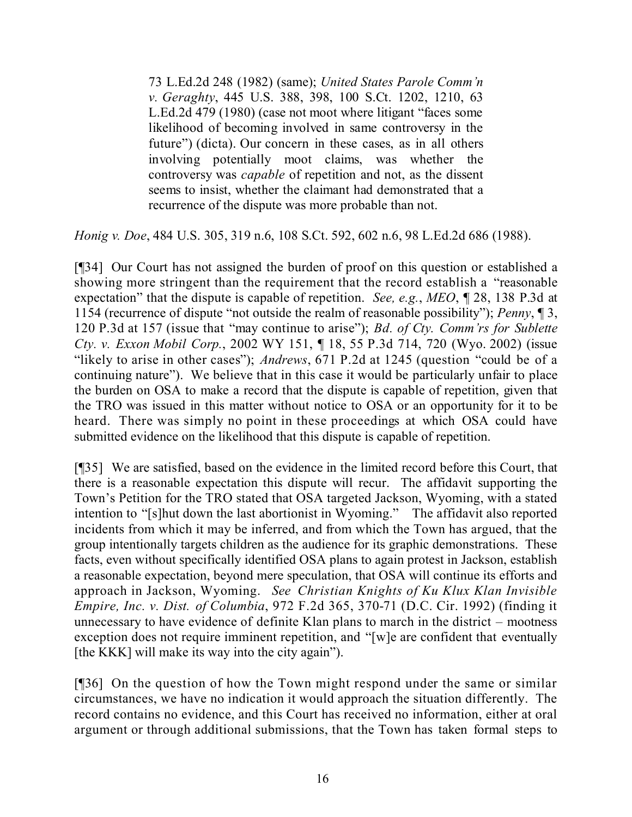73 L.Ed.2d 248 (1982) (same); *United States Parole Comm'n v. Geraghty*, 445 U.S. 388, 398, 100 S.Ct. 1202, 1210, 63 L.Ed.2d 479 (1980) (case not moot where litigant "faces some likelihood of becoming involved in same controversy in the future") (dicta). Our concern in these cases, as in all others involving potentially moot claims, was whether the controversy was *capable* of repetition and not, as the dissent seems to insist, whether the claimant had demonstrated that a recurrence of the dispute was more probable than not.

*Honig v. Doe*, 484 U.S. 305, 319 n.6, 108 S.Ct. 592, 602 n.6, 98 L.Ed.2d 686 (1988).

[¶34] Our Court has not assigned the burden of proof on this question or established a showing more stringent than the requirement that the record establish a "reasonable expectation" that the dispute is capable of repetition. *See, e.g.*, *MEO*, ¶ 28, 138 P.3d at 1154 (recurrence of dispute "not outside the realm of reasonable possibility"); *Penny*, ¶ 3, 120 P.3d at 157 (issue that "may continue to arise"); *Bd. of Cty. Comm'rs for Sublette Cty. v. Exxon Mobil Corp.*, 2002 WY 151, ¶ 18, 55 P.3d 714, 720 (Wyo. 2002) (issue "likely to arise in other cases"); *Andrews*, 671 P.2d at 1245 (question "could be of a continuing nature"). We believe that in this case it would be particularly unfair to place the burden on OSA to make a record that the dispute is capable of repetition, given that the TRO was issued in this matter without notice to OSA or an opportunity for it to be heard. There was simply no point in these proceedings at which OSA could have submitted evidence on the likelihood that this dispute is capable of repetition.

[¶35] We are satisfied, based on the evidence in the limited record before this Court, that there is a reasonable expectation this dispute will recur. The affidavit supporting the Town's Petition for the TRO stated that OSA targeted Jackson, Wyoming, with a stated intention to "[s]hut down the last abortionist in Wyoming." The affidavit also reported incidents from which it may be inferred, and from which the Town has argued, that the group intentionally targets children as the audience for its graphic demonstrations. These facts, even without specifically identified OSA plans to again protest in Jackson, establish a reasonable expectation, beyond mere speculation, that OSA will continue its efforts and approach in Jackson, Wyoming. *See Christian Knights of Ku Klux Klan Invisible Empire, Inc. v. Dist. of Columbia*, 972 F.2d 365, 370-71 (D.C. Cir. 1992) (finding it unnecessary to have evidence of definite Klan plans to march in the district – mootness exception does not require imminent repetition, and "[w]e are confident that eventually [the KKK] will make its way into the city again").

[¶36] On the question of how the Town might respond under the same or similar circumstances, we have no indication it would approach the situation differently. The record contains no evidence, and this Court has received no information, either at oral argument or through additional submissions, that the Town has taken formal steps to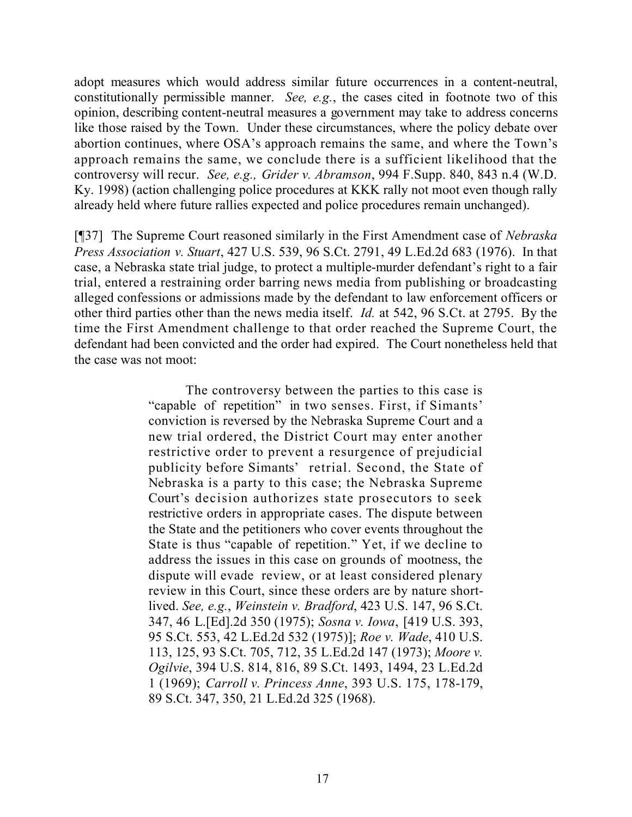adopt measures which would address similar future occurrences in a content-neutral, constitutionally permissible manner. *See, e.g.*, the cases cited in footnote two of this opinion, describing content-neutral measures a government may take to address concerns like those raised by the Town. Under these circumstances, where the policy debate over abortion continues, where OSA's approach remains the same, and where the Town's approach remains the same, we conclude there is a sufficient likelihood that the controversy will recur. *See, e.g., Grider v. Abramson*, 994 F.Supp. 840, 843 n.4 (W.D. Ky. 1998) (action challenging police procedures at KKK rally not moot even though rally already held where future rallies expected and police procedures remain unchanged).

[¶37] The Supreme Court reasoned similarly in the First Amendment case of *Nebraska Press Association v. Stuart*, 427 U.S. 539, 96 S.Ct. 2791, 49 L.Ed.2d 683 (1976). In that case, a Nebraska state trial judge, to protect a multiple-murder defendant's right to a fair trial, entered a restraining order barring news media from publishing or broadcasting alleged confessions or admissions made by the defendant to law enforcement officers or other third parties other than the news media itself. *Id.* at 542, 96 S.Ct. at 2795. By the time the First Amendment challenge to that order reached the Supreme Court, the defendant had been convicted and the order had expired. The Court nonetheless held that the case was not moot:

> The controversy between the parties to this case is "capable of repetition" in two senses. First, if Simants' conviction is reversed by the Nebraska Supreme Court and a new trial ordered, the District Court may enter another restrictive order to prevent a resurgence of prejudicial publicity before Simants' retrial. Second, the State of Nebraska is a party to this case; the Nebraska Supreme Court's decision authorizes state prosecutors to seek restrictive orders in appropriate cases. The dispute between the State and the petitioners who cover events throughout the State is thus "capable of repetition." Yet, if we decline to address the issues in this case on grounds of mootness, the dispute will evade review, or at least considered plenary review in this Court, since these orders are by nature shortlived. *See, e.g.*, *Weinstein v. Bradford*, 423 U.S. 147, 96 S.Ct. 347, 46 L.[Ed].2d 350 (1975); *Sosna v. Iowa*, [419 U.S. 393, 95 S.Ct. 553, 42 L.Ed.2d 532 (1975)]; *Roe v. Wade*, 410 U.S. 113, 125, 93 S.Ct. 705, 712, 35 L.Ed.2d 147 (1973); *Moore v. Ogilvie*, 394 U.S. 814, 816, 89 S.Ct. 1493, 1494, 23 L.Ed.2d 1 (1969); *Carroll v. Princess Anne*, 393 U.S. 175, 178-179, 89 S.Ct. 347, 350, 21 L.Ed.2d 325 (1968).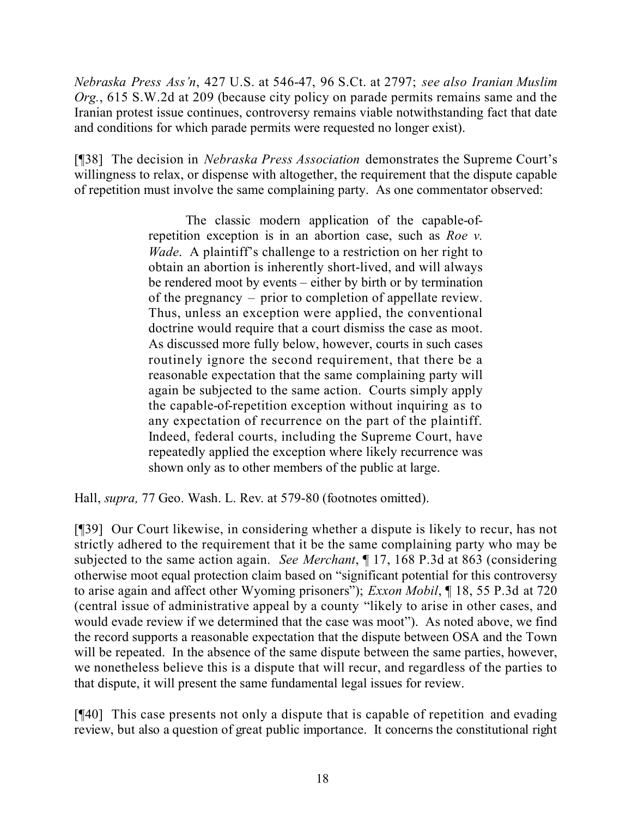*Nebraska Press Ass'n*, 427 U.S. at 546-47, 96 S.Ct. at 2797; *see also Iranian Muslim Org.*, 615 S.W.2d at 209 (because city policy on parade permits remains same and the Iranian protest issue continues, controversy remains viable notwithstanding fact that date and conditions for which parade permits were requested no longer exist).

[¶38] The decision in *Nebraska Press Association* demonstrates the Supreme Court's willingness to relax, or dispense with altogether, the requirement that the dispute capable of repetition must involve the same complaining party. As one commentator observed:

> The classic modern application of the capable-ofrepetition exception is in an abortion case, such as *Roe v. Wade*. A plaintiff's challenge to a restriction on her right to obtain an abortion is inherently short-lived, and will always be rendered moot by events – either by birth or by termination of the pregnancy – prior to completion of appellate review. Thus, unless an exception were applied, the conventional doctrine would require that a court dismiss the case as moot. As discussed more fully below, however, courts in such cases routinely ignore the second requirement, that there be a reasonable expectation that the same complaining party will again be subjected to the same action. Courts simply apply the capable-of-repetition exception without inquiring as to any expectation of recurrence on the part of the plaintiff. Indeed, federal courts, including the Supreme Court, have repeatedly applied the exception where likely recurrence was shown only as to other members of the public at large.

Hall, *supra,* 77 Geo. Wash. L. Rev. at 579-80 (footnotes omitted).

[¶39] Our Court likewise, in considering whether a dispute is likely to recur, has not strictly adhered to the requirement that it be the same complaining party who may be subjected to the same action again. *See Merchant*, ¶ 17, 168 P.3d at 863 (considering otherwise moot equal protection claim based on "significant potential for this controversy to arise again and affect other Wyoming prisoners"); *Exxon Mobil*, ¶ 18, 55 P.3d at 720 (central issue of administrative appeal by a county "likely to arise in other cases, and would evade review if we determined that the case was moot"). As noted above, we find the record supports a reasonable expectation that the dispute between OSA and the Town will be repeated. In the absence of the same dispute between the same parties, however, we nonetheless believe this is a dispute that will recur, and regardless of the parties to that dispute, it will present the same fundamental legal issues for review.

[¶40] This case presents not only a dispute that is capable of repetition and evading review, but also a question of great public importance. It concerns the constitutional right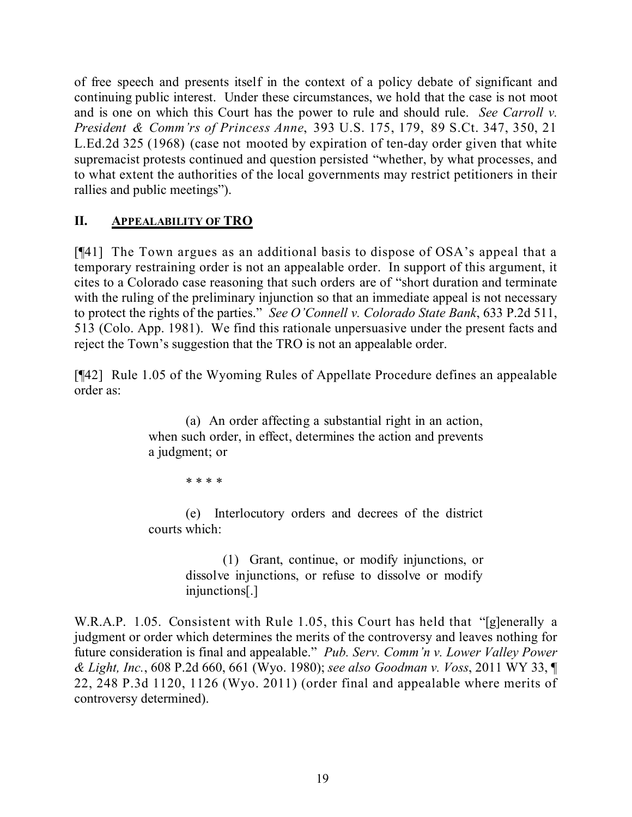of free speech and presents itself in the context of a policy debate of significant and continuing public interest. Under these circumstances, we hold that the case is not moot and is one on which this Court has the power to rule and should rule. *See Carroll v. President & Comm'rs of Princess Anne*, 393 U.S. 175, 179, 89 S.Ct. 347, 350, 21 L.Ed.2d 325 (1968) (case not mooted by expiration of ten-day order given that white supremacist protests continued and question persisted "whether, by what processes, and to what extent the authorities of the local governments may restrict petitioners in their rallies and public meetings").

## **II. APPEALABILITY OF TRO**

[¶41] The Town argues as an additional basis to dispose of OSA's appeal that a temporary restraining order is not an appealable order. In support of this argument, it cites to a Colorado case reasoning that such orders are of "short duration and terminate with the ruling of the preliminary injunction so that an immediate appeal is not necessary to protect the rights of the parties." *See O'Connell v. Colorado State Bank*, 633 P.2d 511, 513 (Colo. App. 1981). We find this rationale unpersuasive under the present facts and reject the Town's suggestion that the TRO is not an appealable order.

[¶42] Rule 1.05 of the Wyoming Rules of Appellate Procedure defines an appealable order as:

> (a) An order affecting a substantial right in an action, when such order, in effect, determines the action and prevents a judgment; or

> > \* \* \* \*

(e) Interlocutory orders and decrees of the district courts which:

> (1) Grant, continue, or modify injunctions, or dissolve injunctions, or refuse to dissolve or modify injunctions[.]

W.R.A.P. 1.05. Consistent with Rule 1.05, this Court has held that "[g]enerally a judgment or order which determines the merits of the controversy and leaves nothing for future consideration is final and appealable." *Pub. Serv. Comm'n v. Lower Valley Power & Light, Inc.*, 608 P.2d 660, 661 (Wyo. 1980); *see also Goodman v. Voss*, 2011 WY 33, ¶ 22, 248 P.3d 1120, 1126 (Wyo. 2011) (order final and appealable where merits of controversy determined).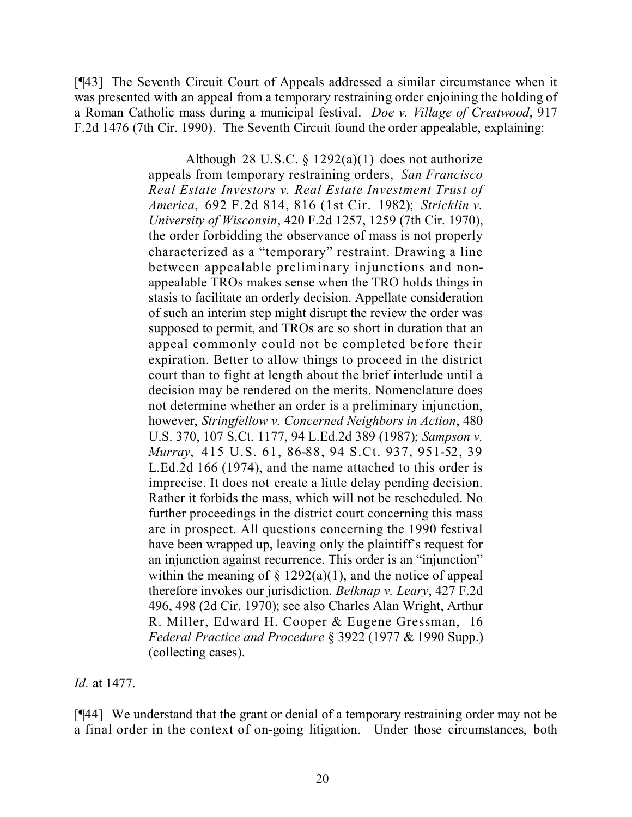[¶43] The Seventh Circuit Court of Appeals addressed a similar circumstance when it was presented with an appeal from a temporary restraining order enjoining the holding of a Roman Catholic mass during a municipal festival. *Doe v. Village of Crestwood*, 917 F.2d 1476 (7th Cir. 1990). The Seventh Circuit found the order appealable, explaining:

> Although 28 U.S.C.  $\S$  1292(a)(1) does not authorize appeals from temporary restraining orders, *San Francisco Real Estate Investors v. Real Estate Investment Trust of America*, 692 F.2d 814, 816 (1st Cir. 1982); *Stricklin v. University of Wisconsin*, 420 F.2d 1257, 1259 (7th Cir. 1970), the order forbidding the observance of mass is not properly characterized as a "temporary" restraint. Drawing a line between appealable preliminary injunctions and nonappealable TROs makes sense when the TRO holds things in stasis to facilitate an orderly decision. Appellate consideration of such an interim step might disrupt the review the order was supposed to permit, and TROs are so short in duration that an appeal commonly could not be completed before their expiration. Better to allow things to proceed in the district court than to fight at length about the brief interlude until a decision may be rendered on the merits. Nomenclature does not determine whether an order is a preliminary injunction, however, *Stringfellow v. Concerned Neighbors in Action*, 480 U.S. 370, 107 S.Ct. 1177, 94 L.Ed.2d 389 (1987); *Sampson v. Murray*, 415 U.S. 61, 86-88, 94 S.Ct. 937, 951-52, 39 L.Ed.2d 166 (1974), and the name attached to this order is imprecise. It does not create a little delay pending decision. Rather it forbids the mass, which will not be rescheduled. No further proceedings in the district court concerning this mass are in prospect. All questions concerning the 1990 festival have been wrapped up, leaving only the plaintiff's request for an injunction against recurrence. This order is an "injunction" within the meaning of  $\S$  1292(a)(1), and the notice of appeal therefore invokes our jurisdiction. *Belknap v. Leary*, 427 F.2d 496, 498 (2d Cir. 1970); see also Charles Alan Wright, Arthur R. Miller, Edward H. Cooper & Eugene Gressman, 16 *Federal Practice and Procedure* § 3922 (1977 & 1990 Supp.) (collecting cases).

*Id.* at 1477.

[¶44] We understand that the grant or denial of a temporary restraining order may not be a final order in the context of on-going litigation. Under those circumstances, both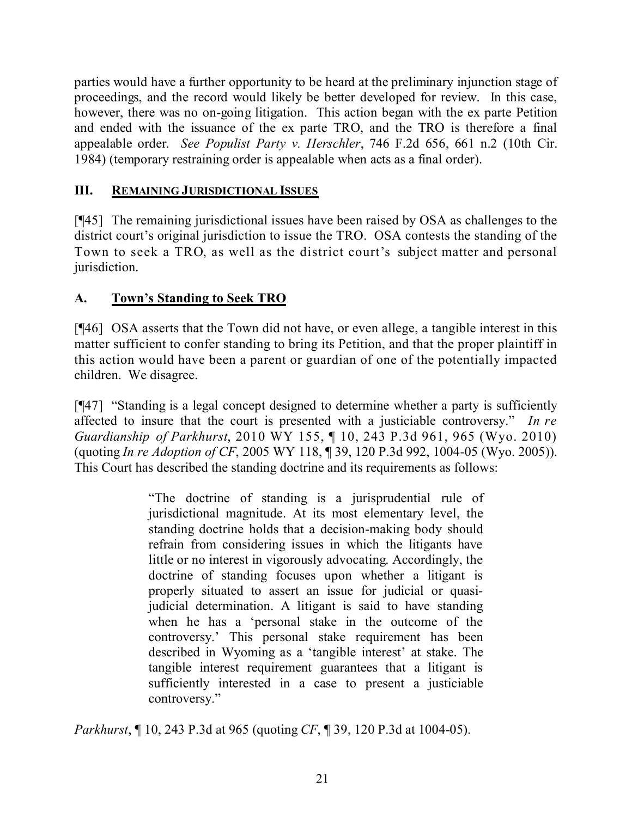parties would have a further opportunity to be heard at the preliminary injunction stage of proceedings, and the record would likely be better developed for review. In this case, however, there was no on-going litigation. This action began with the ex parte Petition and ended with the issuance of the ex parte TRO, and the TRO is therefore a final appealable order. *See Populist Party v. Herschler*, 746 F.2d 656, 661 n.2 (10th Cir. 1984) (temporary restraining order is appealable when acts as a final order).

# **III. REMAINING JURISDICTIONAL ISSUES**

[¶45] The remaining jurisdictional issues have been raised by OSA as challenges to the district court's original jurisdiction to issue the TRO. OSA contests the standing of the Town to seek a TRO, as well as the district court's subject matter and personal jurisdiction.

# **A. Town's Standing to Seek TRO**

[¶46] OSA asserts that the Town did not have, or even allege, a tangible interest in this matter sufficient to confer standing to bring its Petition, and that the proper plaintiff in this action would have been a parent or guardian of one of the potentially impacted children. We disagree.

[¶47] "Standing is a legal concept designed to determine whether a party is sufficiently affected to insure that the court is presented with a justiciable controversy." *In re Guardianship of Parkhurst*, 2010 WY 155, ¶ 10, 243 P.3d 961, 965 (Wyo. 2010) (quoting *In re Adoption of CF*, 2005 WY 118, ¶ 39, 120 P.3d 992, 1004-05 (Wyo. 2005)). This Court has described the standing doctrine and its requirements as follows:

> "The doctrine of standing is a jurisprudential rule of jurisdictional magnitude. At its most elementary level, the standing doctrine holds that a decision-making body should refrain from considering issues in which the litigants have little or no interest in vigorously advocating. Accordingly, the doctrine of standing focuses upon whether a litigant is properly situated to assert an issue for judicial or quasijudicial determination. A litigant is said to have standing when he has a 'personal stake in the outcome of the controversy.' This personal stake requirement has been described in Wyoming as a 'tangible interest' at stake. The tangible interest requirement guarantees that a litigant is sufficiently interested in a case to present a justiciable controversy."

*Parkhurst*, ¶ 10, 243 P.3d at 965 (quoting *CF*, ¶ 39, 120 P.3d at 1004-05).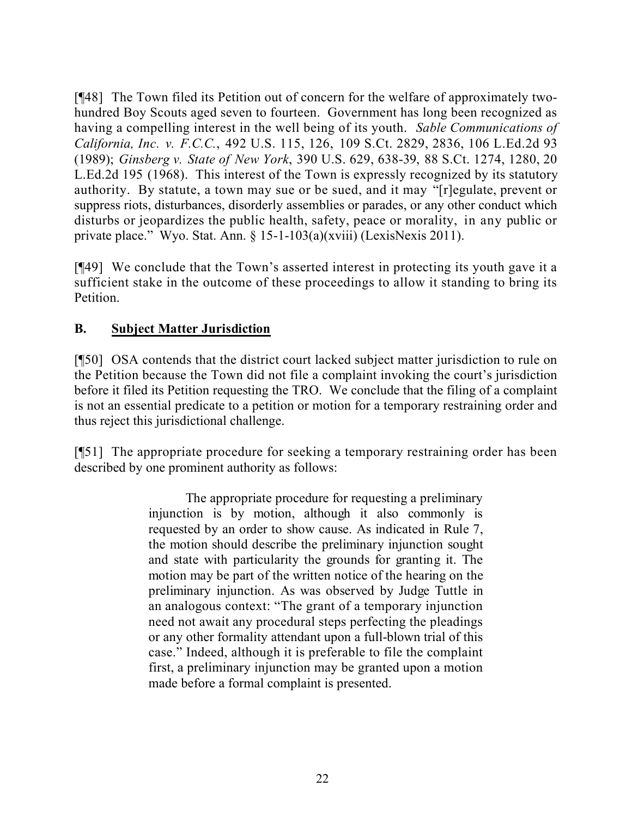[¶48] The Town filed its Petition out of concern for the welfare of approximately twohundred Boy Scouts aged seven to fourteen. Government has long been recognized as having a compelling interest in the well being of its youth. *Sable Communications of California, Inc. v. F.C.C.*, 492 U.S. 115, 126, 109 S.Ct. 2829, 2836, 106 L.Ed.2d 93 (1989); *Ginsberg v. State of New York*, 390 U.S. 629, 638-39, 88 S.Ct. 1274, 1280, 20 L.Ed.2d 195 (1968). This interest of the Town is expressly recognized by its statutory authority. By statute, a town may sue or be sued, and it may "[r]egulate, prevent or suppress riots, disturbances, disorderly assemblies or parades, or any other conduct which disturbs or jeopardizes the public health, safety, peace or morality, in any public or private place." Wyo. Stat. Ann. § 15-1-103(a)(xviii) (LexisNexis 2011).

[¶49] We conclude that the Town's asserted interest in protecting its youth gave it a sufficient stake in the outcome of these proceedings to allow it standing to bring its **Petition** 

## **B. Subject Matter Jurisdiction**

[¶50] OSA contends that the district court lacked subject matter jurisdiction to rule on the Petition because the Town did not file a complaint invoking the court's jurisdiction before it filed its Petition requesting the TRO. We conclude that the filing of a complaint is not an essential predicate to a petition or motion for a temporary restraining order and thus reject this jurisdictional challenge.

[¶51] The appropriate procedure for seeking a temporary restraining order has been described by one prominent authority as follows:

> The appropriate procedure for requesting a preliminary injunction is by motion, although it also commonly is requested by an order to show cause. As indicated in Rule 7, the motion should describe the preliminary injunction sought and state with particularity the grounds for granting it. The motion may be part of the written notice of the hearing on the preliminary injunction. As was observed by Judge Tuttle in an analogous context: "The grant of a temporary injunction need not await any procedural steps perfecting the pleadings or any other formality attendant upon a full-blown trial of this case." Indeed, although it is preferable to file the complaint first, a preliminary injunction may be granted upon a motion made before a formal complaint is presented.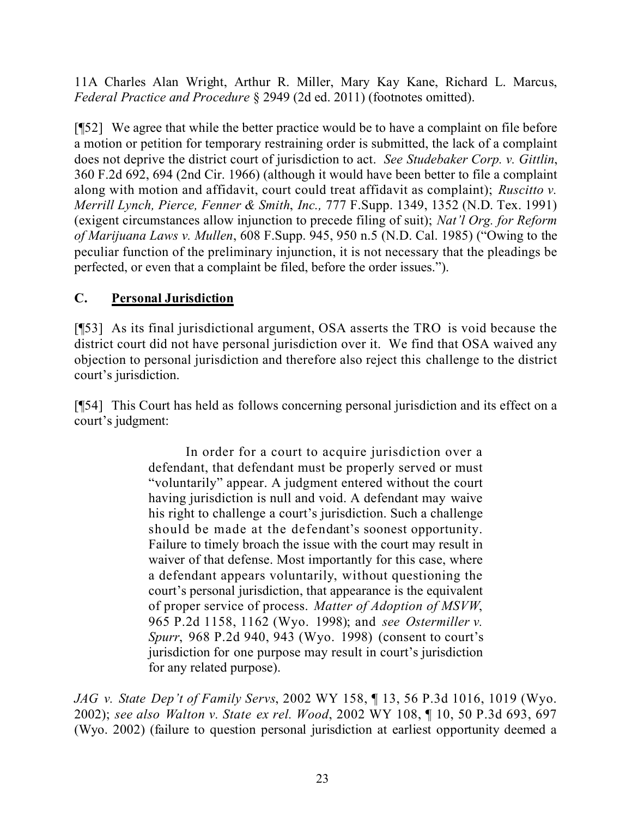11A Charles Alan Wright, Arthur R. Miller, Mary Kay Kane, Richard L. Marcus, *Federal Practice and Procedure* § 2949 (2d ed. 2011) (footnotes omitted).

[¶52] We agree that while the better practice would be to have a complaint on file before a motion or petition for temporary restraining order is submitted, the lack of a complaint does not deprive the district court of jurisdiction to act. *See Studebaker Corp. v. Gittlin*, 360 F.2d 692, 694 (2nd Cir. 1966) (although it would have been better to file a complaint along with motion and affidavit, court could treat affidavit as complaint); *Ruscitto v. Merrill Lynch, Pierce, Fenner & Smith*, *Inc.,* 777 F.Supp. 1349, 1352 (N.D. Tex. 1991) (exigent circumstances allow injunction to precede filing of suit); *Nat'l Org. for Reform of Marijuana Laws v. Mullen*, 608 F.Supp. 945, 950 n.5 (N.D. Cal. 1985) ("Owing to the peculiar function of the preliminary injunction, it is not necessary that the pleadings be perfected, or even that a complaint be filed, before the order issues.").

# **C. Personal Jurisdiction**

[¶53] As its final jurisdictional argument, OSA asserts the TRO is void because the district court did not have personal jurisdiction over it. We find that OSA waived any objection to personal jurisdiction and therefore also reject this challenge to the district court's jurisdiction.

[¶54] This Court has held as follows concerning personal jurisdiction and its effect on a court's judgment:

> In order for a court to acquire jurisdiction over a defendant, that defendant must be properly served or must "voluntarily" appear. A judgment entered without the court having jurisdiction is null and void. A defendant may waive his right to challenge a court's jurisdiction. Such a challenge should be made at the defendant's soonest opportunity. Failure to timely broach the issue with the court may result in waiver of that defense. Most importantly for this case, where a defendant appears voluntarily, without questioning the court's personal jurisdiction, that appearance is the equivalent of proper service of process. *Matter of Adoption of MSVW*, 965 P.2d 1158, 1162 (Wyo. 1998); and *see Ostermiller v. Spurr*, 968 P.2d 940, 943 (Wyo. 1998) (consent to court's jurisdiction for one purpose may result in court's jurisdiction for any related purpose).

*JAG v. State Dep't of Family Servs*, 2002 WY 158, ¶ 13, 56 P.3d 1016, 1019 (Wyo. 2002); *see also Walton v. State ex rel. Wood*, 2002 WY 108, ¶ 10, 50 P.3d 693, 697 (Wyo. 2002) (failure to question personal jurisdiction at earliest opportunity deemed a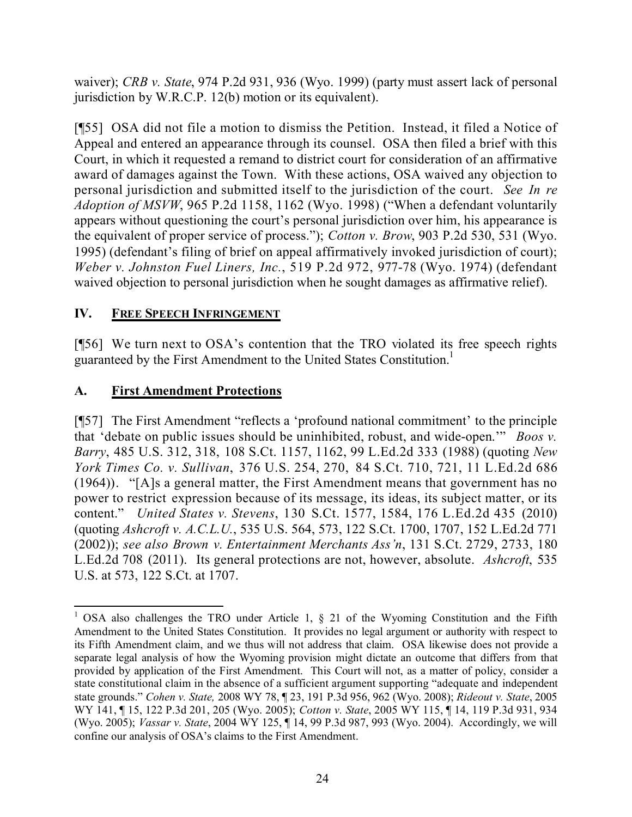waiver); *CRB v. State*, 974 P.2d 931, 936 (Wyo. 1999) (party must assert lack of personal jurisdiction by W.R.C.P. 12(b) motion or its equivalent).

[¶55] OSA did not file a motion to dismiss the Petition. Instead, it filed a Notice of Appeal and entered an appearance through its counsel. OSA then filed a brief with this Court, in which it requested a remand to district court for consideration of an affirmative award of damages against the Town. With these actions, OSA waived any objection to personal jurisdiction and submitted itself to the jurisdiction of the court. *See In re Adoption of MSVW*, 965 P.2d 1158, 1162 (Wyo. 1998) ("When a defendant voluntarily appears without questioning the court's personal jurisdiction over him, his appearance is the equivalent of proper service of process."); *Cotton v. Brow*, 903 P.2d 530, 531 (Wyo. 1995) (defendant's filing of brief on appeal affirmatively invoked jurisdiction of court); *Weber v. Johnston Fuel Liners, Inc.*, 519 P.2d 972, 977-78 (Wyo. 1974) (defendant waived objection to personal jurisdiction when he sought damages as affirmative relief).

## **IV. FREE SPEECH INFRINGEMENT**

[¶56] We turn next to OSA's contention that the TRO violated its free speech rights guaranteed by the First Amendment to the United States Constitution.<sup>1</sup>

# **A. First Amendment Protections**

 $\overline{a}$ 

[¶57] The First Amendment "reflects a 'profound national commitment' to the principle that 'debate on public issues should be uninhibited, robust, and wide-open.'" *Boos v. Barry*, 485 U.S. 312, 318, 108 S.Ct. 1157, 1162, 99 L.Ed.2d 333 (1988) (quoting *New York Times Co. v. Sullivan*, 376 U.S. 254, 270, 84 S.Ct. 710, 721, 11 L.Ed.2d 686 (1964)). "[A]s a general matter, the First Amendment means that government has no power to restrict expression because of its message, its ideas, its subject matter, or its content." *United States v. Stevens*, 130 S.Ct. 1577, 1584, 176 L.Ed.2d 435 (2010) (quoting *Ashcroft v. A.C.L.U.*, 535 U.S. 564, 573, 122 S.Ct. 1700, 1707, 152 L.Ed.2d 771 (2002)); *see also Brown v. Entertainment Merchants Ass'n*, 131 S.Ct. 2729, 2733, 180 L.Ed.2d 708 (2011). Its general protections are not, however, absolute. *Ashcroft*, 535 U.S. at 573, 122 S.Ct. at 1707.

<sup>&</sup>lt;sup>1</sup> OSA also challenges the TRO under Article 1,  $\S$  21 of the Wyoming Constitution and the Fifth Amendment to the United States Constitution. It provides no legal argument or authority with respect to its Fifth Amendment claim, and we thus will not address that claim. OSA likewise does not provide a separate legal analysis of how the Wyoming provision might dictate an outcome that differs from that provided by application of the First Amendment. This Court will not, as a matter of policy, consider a state constitutional claim in the absence of a sufficient argument supporting "adequate and independent state grounds." *Cohen v. State,* 2008 WY 78, ¶ 23, 191 P.3d 956, 962 (Wyo. 2008); *Rideout v. State*, 2005 WY 141, ¶ 15, 122 P.3d 201, 205 (Wyo. 2005); *Cotton v. State*, 2005 WY 115, ¶ 14, 119 P.3d 931, 934 (Wyo. 2005); *Vassar v. State*, 2004 WY 125, ¶ 14, 99 P.3d 987, 993 (Wyo. 2004). Accordingly, we will confine our analysis of OSA's claims to the First Amendment.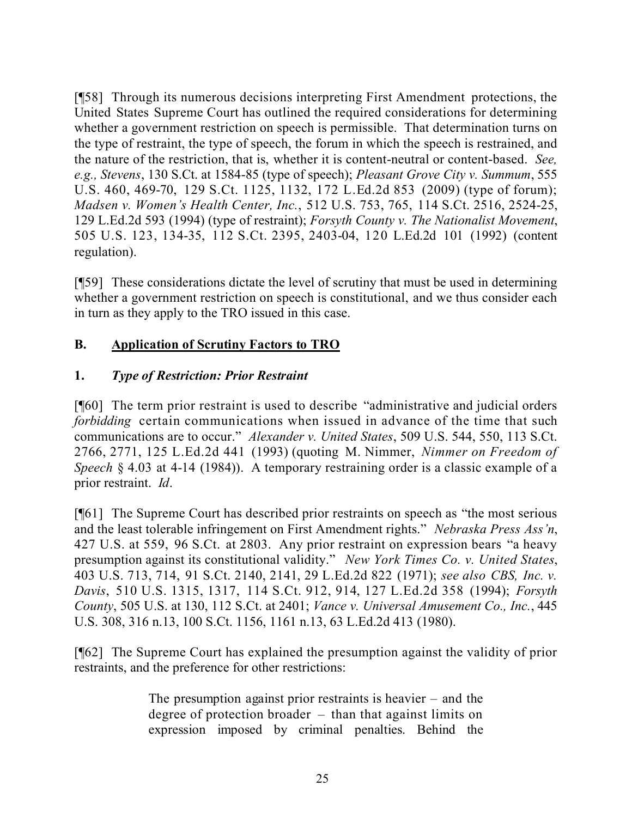[¶58] Through its numerous decisions interpreting First Amendment protections, the United States Supreme Court has outlined the required considerations for determining whether a government restriction on speech is permissible. That determination turns on the type of restraint, the type of speech, the forum in which the speech is restrained, and the nature of the restriction, that is, whether it is content-neutral or content-based. *See, e.g., Stevens*, 130 S.Ct. at 1584-85 (type of speech); *Pleasant Grove City v. Summum*, 555 U.S. 460, 469-70, 129 S.Ct. 1125, 1132, 172 L.Ed.2d 853 (2009) (type of forum); *Madsen v. Women's Health Center, Inc.*, 512 U.S. 753, 765, 114 S.Ct. 2516, 2524-25, 129 L.Ed.2d 593 (1994) (type of restraint); *Forsyth County v. The Nationalist Movement*, 505 U.S. 123, 134-35, 112 S.Ct. 2395, 2403-04, 120 L.Ed.2d 101 (1992) (content regulation).

[¶59] These considerations dictate the level of scrutiny that must be used in determining whether a government restriction on speech is constitutional, and we thus consider each in turn as they apply to the TRO issued in this case.

# **B. Application of Scrutiny Factors to TRO**

## **1.** *Type of Restriction: Prior Restraint*

[¶60] The term prior restraint is used to describe "administrative and judicial orders *forbidding* certain communications when issued in advance of the time that such communications are to occur." *Alexander v. United States*, 509 U.S. 544, 550, 113 S.Ct. 2766, 2771, 125 L.Ed.2d 441 (1993) (quoting M. Nimmer, *Nimmer on Freedom of Speech* § 4.03 at 4-14 (1984)). A temporary restraining order is a classic example of a prior restraint. *Id*.

[¶61] The Supreme Court has described prior restraints on speech as "the most serious and the least tolerable infringement on First Amendment rights." *Nebraska Press Ass'n*, 427 U.S. at 559, 96 S.Ct. at 2803. Any prior restraint on expression bears "a heavy presumption against its constitutional validity." *New York Times Co. v. United States*, 403 U.S. 713, 714, 91 S.Ct. 2140, 2141, 29 L.Ed.2d 822 (1971); *see also CBS, Inc. v. Davis*, 510 U.S. 1315, 1317, 114 S.Ct. 912, 914, 127 L.Ed.2d 358 (1994); *Forsyth County*, 505 U.S. at 130, 112 S.Ct. at 2401; *Vance v. Universal Amusement Co., Inc.*, 445 U.S. 308, 316 n.13, 100 S.Ct. 1156, 1161 n.13, 63 L.Ed.2d 413 (1980).

[¶62] The Supreme Court has explained the presumption against the validity of prior restraints, and the preference for other restrictions:

> The presumption against prior restraints is heavier – and the degree of protection broader – than that against limits on expression imposed by criminal penalties. Behind the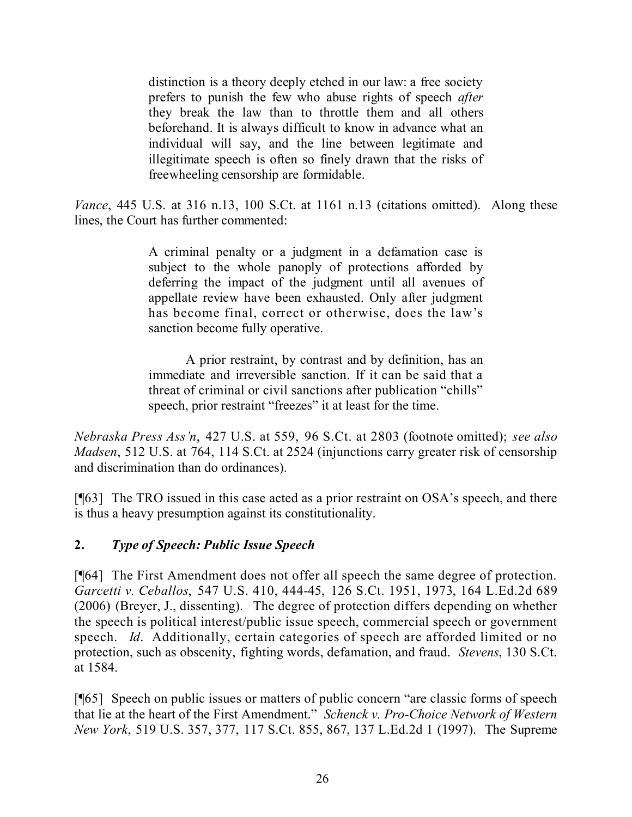distinction is a theory deeply etched in our law: a free society prefers to punish the few who abuse rights of speech *after* they break the law than to throttle them and all others beforehand. It is always difficult to know in advance what an individual will say, and the line between legitimate and illegitimate speech is often so finely drawn that the risks of freewheeling censorship are formidable.

*Vance*, 445 U.S. at 316 n.13, 100 S.Ct. at 1161 n.13 (citations omitted). Along these lines, the Court has further commented:

> A criminal penalty or a judgment in a defamation case is subject to the whole panoply of protections afforded by deferring the impact of the judgment until all avenues of appellate review have been exhausted. Only after judgment has become final, correct or otherwise, does the law's sanction become fully operative.

> A prior restraint, by contrast and by definition, has an immediate and irreversible sanction. If it can be said that a threat of criminal or civil sanctions after publication "chills" speech, prior restraint "freezes" it at least for the time.

*Nebraska Press Ass'n*, 427 U.S. at 559, 96 S.Ct. at 2803 (footnote omitted); *see also Madsen*, 512 U.S. at 764, 114 S.Ct. at 2524 (injunctions carry greater risk of censorship and discrimination than do ordinances).

[¶63] The TRO issued in this case acted as a prior restraint on OSA's speech, and there is thus a heavy presumption against its constitutionality.

#### **2.** *Type of Speech: Public Issue Speech*

[¶64] The First Amendment does not offer all speech the same degree of protection. *Garcetti v. Ceballos*, 547 U.S. 410, 444-45, 126 S.Ct. 1951, 1973, 164 L.Ed.2d 689 (2006) (Breyer, J., dissenting). The degree of protection differs depending on whether the speech is political interest/public issue speech, commercial speech or government speech. *Id*. Additionally, certain categories of speech are afforded limited or no protection, such as obscenity, fighting words, defamation, and fraud. *Stevens*, 130 S.Ct. at 1584.

[¶65] Speech on public issues or matters of public concern "are classic forms of speech that lie at the heart of the First Amendment." *Schenck v. Pro-Choice Network of Western New York*, 519 U.S. 357, 377, 117 S.Ct. 855, 867, 137 L.Ed.2d 1 (1997). The Supreme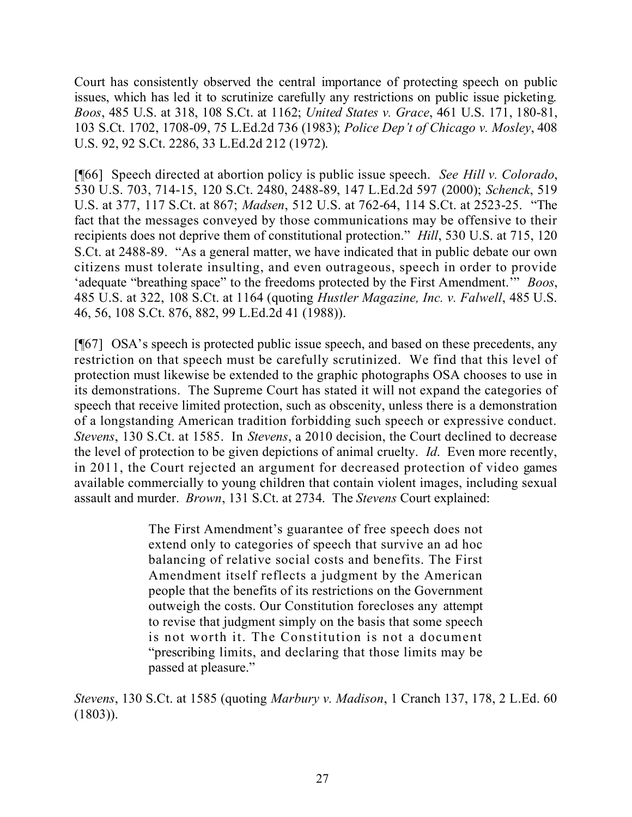Court has consistently observed the central importance of protecting speech on public issues, which has led it to scrutinize carefully any restrictions on public issue picketing. *Boos*, 485 U.S. at 318, 108 S.Ct. at 1162; *United States v. Grace*, 461 U.S. 171, 180-81, 103 S.Ct. 1702, 1708-09, 75 L.Ed.2d 736 (1983); *Police Dep't of Chicago v. Mosley*, 408 U.S. 92, 92 S.Ct. 2286, 33 L.Ed.2d 212 (1972).

[¶66] Speech directed at abortion policy is public issue speech. *See Hill v. Colorado*, 530 U.S. 703, 714-15, 120 S.Ct. 2480, 2488-89, 147 L.Ed.2d 597 (2000); *Schenck*, 519 U.S. at 377, 117 S.Ct. at 867; *Madsen*, 512 U.S. at 762-64, 114 S.Ct. at 2523-25. "The fact that the messages conveyed by those communications may be offensive to their recipients does not deprive them of constitutional protection." *Hill*, 530 U.S. at 715, 120 S.Ct. at 2488-89. "As a general matter, we have indicated that in public debate our own citizens must tolerate insulting, and even outrageous, speech in order to provide 'adequate "breathing space" to the freedoms protected by the First Amendment.'" *Boos*, 485 U.S. at 322, 108 S.Ct. at 1164 (quoting *Hustler Magazine, Inc. v. Falwell*, 485 U.S. 46, 56, 108 S.Ct. 876, 882, 99 L.Ed.2d 41 (1988)).

[¶67] OSA's speech is protected public issue speech, and based on these precedents, any restriction on that speech must be carefully scrutinized. We find that this level of protection must likewise be extended to the graphic photographs OSA chooses to use in its demonstrations. The Supreme Court has stated it will not expand the categories of speech that receive limited protection, such as obscenity, unless there is a demonstration of a longstanding American tradition forbidding such speech or expressive conduct. *Stevens*, 130 S.Ct. at 1585. In *Stevens*, a 2010 decision, the Court declined to decrease the level of protection to be given depictions of animal cruelty. *Id*. Even more recently, in 2011, the Court rejected an argument for decreased protection of video games available commercially to young children that contain violent images, including sexual assault and murder. *Brown*, 131 S.Ct. at 2734. The *Stevens* Court explained:

> The First Amendment's guarantee of free speech does not extend only to categories of speech that survive an ad hoc balancing of relative social costs and benefits. The First Amendment itself reflects a judgment by the American people that the benefits of its restrictions on the Government outweigh the costs. Our Constitution forecloses any attempt to revise that judgment simply on the basis that some speech is not worth it. The Constitution is not a document "prescribing limits, and declaring that those limits may be passed at pleasure."

*Stevens*, 130 S.Ct. at 1585 (quoting *Marbury v. Madison*, 1 Cranch 137, 178, 2 L.Ed. 60 (1803)).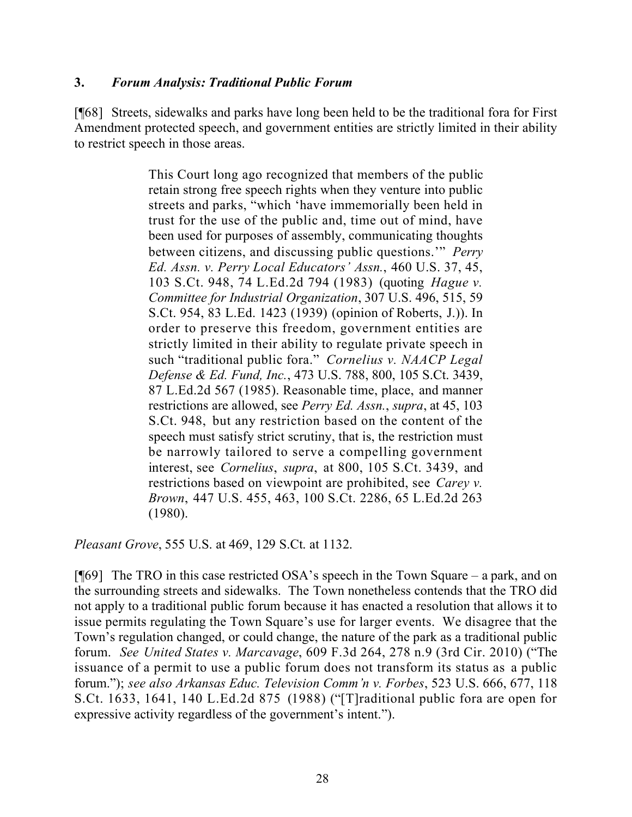#### **3.** *Forum Analysis: Traditional Public Forum*

[¶68] Streets, sidewalks and parks have long been held to be the traditional fora for First Amendment protected speech, and government entities are strictly limited in their ability to restrict speech in those areas.

> This Court long ago recognized that members of the public retain strong free speech rights when they venture into public streets and parks, "which 'have immemorially been held in trust for the use of the public and, time out of mind, have been used for purposes of assembly, communicating thoughts between citizens, and discussing public questions.'" *Perry Ed. Assn. v. Perry Local Educators' Assn.*, 460 U.S. 37, 45, 103 S.Ct. 948, 74 L.Ed.2d 794 (1983) (quoting *Hague v. Committee for Industrial Organization*, 307 U.S. 496, 515, 59 S.Ct. 954, 83 L.Ed. 1423 (1939) (opinion of Roberts, J.)). In order to preserve this freedom, government entities are strictly limited in their ability to regulate private speech in such "traditional public fora." *Cornelius v. NAACP Legal Defense & Ed. Fund, Inc.*, 473 U.S. 788, 800, 105 S.Ct. 3439, 87 L.Ed.2d 567 (1985). Reasonable time, place, and manner restrictions are allowed, see *Perry Ed. Assn.*, *supra*, at 45, 103 S.Ct. 948, but any restriction based on the content of the speech must satisfy strict scrutiny, that is, the restriction must be narrowly tailored to serve a compelling government interest, see *Cornelius*, *supra*, at 800, 105 S.Ct. 3439, and restrictions based on viewpoint are prohibited, see *Carey v. Brown*, 447 U.S. 455, 463, 100 S.Ct. 2286, 65 L.Ed.2d 263 (1980).

*Pleasant Grove*, 555 U.S. at 469, 129 S.Ct. at 1132.

[¶69] The TRO in this case restricted OSA's speech in the Town Square – a park, and on the surrounding streets and sidewalks. The Town nonetheless contends that the TRO did not apply to a traditional public forum because it has enacted a resolution that allows it to issue permits regulating the Town Square's use for larger events. We disagree that the Town's regulation changed, or could change, the nature of the park as a traditional public forum. *See United States v. Marcavage*, 609 F.3d 264, 278 n.9 (3rd Cir. 2010) ("The issuance of a permit to use a public forum does not transform its status as a public forum."); *see also Arkansas Educ. Television Comm'n v. Forbes*, 523 U.S. 666, 677, 118 S.Ct. 1633, 1641, 140 L.Ed.2d 875 (1988) ("[T]raditional public fora are open for expressive activity regardless of the government's intent.").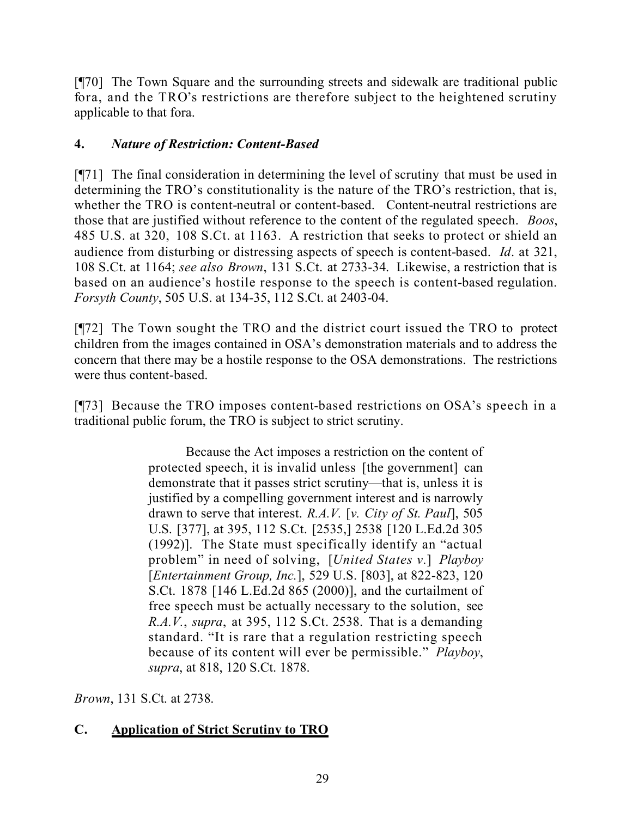[¶70] The Town Square and the surrounding streets and sidewalk are traditional public fora, and the TRO's restrictions are therefore subject to the heightened scrutiny applicable to that fora.

## **4.** *Nature of Restriction: Content-Based*

[¶71] The final consideration in determining the level of scrutiny that must be used in determining the TRO's constitutionality is the nature of the TRO's restriction, that is, whether the TRO is content-neutral or content-based. Content-neutral restrictions are those that are justified without reference to the content of the regulated speech. *Boos*, 485 U.S. at 320, 108 S.Ct. at 1163. A restriction that seeks to protect or shield an audience from disturbing or distressing aspects of speech is content-based. *Id*. at 321, 108 S.Ct. at 1164; *see also Brown*, 131 S.Ct. at 2733-34. Likewise, a restriction that is based on an audience's hostile response to the speech is content-based regulation. *Forsyth County*, 505 U.S. at 134-35, 112 S.Ct. at 2403-04.

[¶72] The Town sought the TRO and the district court issued the TRO to protect children from the images contained in OSA's demonstration materials and to address the concern that there may be a hostile response to the OSA demonstrations. The restrictions were thus content-based.

[¶73] Because the TRO imposes content-based restrictions on OSA's speech in a traditional public forum, the TRO is subject to strict scrutiny.

> Because the Act imposes a restriction on the content of protected speech, it is invalid unless [the government] can demonstrate that it passes strict scrutiny—that is, unless it is justified by a compelling government interest and is narrowly drawn to serve that interest. *R.A.V.* [*v. City of St. Paul*], 505 U.S. [377], at 395, 112 S.Ct. [2535,] 2538 [120 L.Ed.2d 305 (1992)]. The State must specifically identify an "actual problem" in need of solving, [*United States v.*] *Playboy* [*Entertainment Group, Inc.*], 529 U.S. [803], at 822-823, 120 S.Ct. 1878 [146 L.Ed.2d 865 (2000)], and the curtailment of free speech must be actually necessary to the solution, see *R.A.V.*, *supra*, at 395, 112 S.Ct. 2538. That is a demanding standard. "It is rare that a regulation restricting speech because of its content will ever be permissible." *Playboy*, *supra*, at 818, 120 S.Ct. 1878.

*Brown*, 131 S.Ct. at 2738.

# **C. Application of Strict Scrutiny to TRO**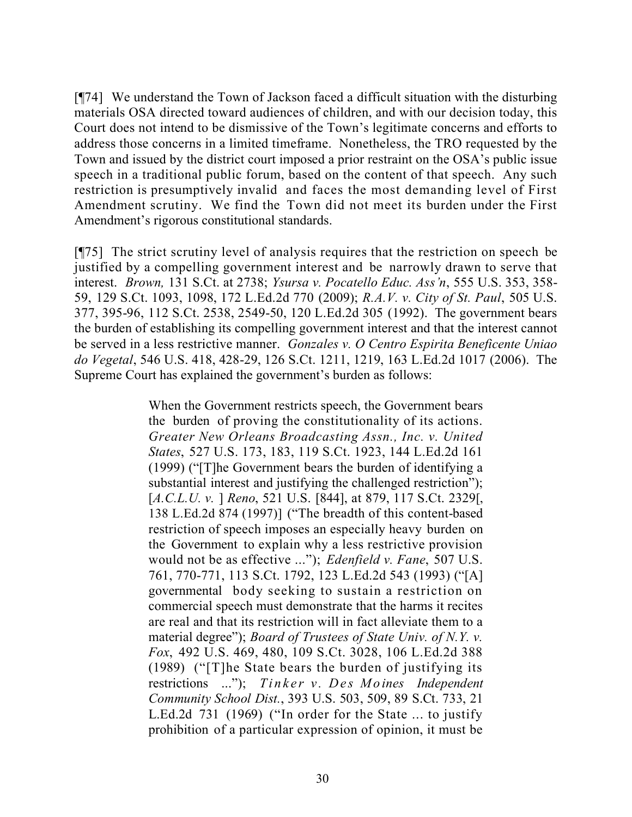[¶74] We understand the Town of Jackson faced a difficult situation with the disturbing materials OSA directed toward audiences of children, and with our decision today, this Court does not intend to be dismissive of the Town's legitimate concerns and efforts to address those concerns in a limited timeframe. Nonetheless, the TRO requested by the Town and issued by the district court imposed a prior restraint on the OSA's public issue speech in a traditional public forum, based on the content of that speech. Any such restriction is presumptively invalid and faces the most demanding level of First Amendment scrutiny. We find the Town did not meet its burden under the First Amendment's rigorous constitutional standards.

[¶75] The strict scrutiny level of analysis requires that the restriction on speech be justified by a compelling government interest and be narrowly drawn to serve that interest. *Brown,* 131 S.Ct. at 2738; *Ysursa v. Pocatello Educ. Ass'n*, 555 U.S. 353, 358- 59, 129 S.Ct. 1093, 1098, 172 L.Ed.2d 770 (2009); *R.A.V. v. City of St. Paul*, 505 U.S. 377, 395-96, 112 S.Ct. 2538, 2549-50, 120 L.Ed.2d 305 (1992). The government bears the burden of establishing its compelling government interest and that the interest cannot be served in a less restrictive manner. *Gonzales v. O Centro Espirita Beneficente Uniao do Vegetal*, 546 U.S. 418, 428-29, 126 S.Ct. 1211, 1219, 163 L.Ed.2d 1017 (2006). The Supreme Court has explained the government's burden as follows:

> When the Government restricts speech, the Government bears the burden of proving the constitutionality of its actions. *Greater New Orleans Broadcasting Assn., Inc. v. United States*, 527 U.S. 173, 183, 119 S.Ct. 1923, 144 L.Ed.2d 161 (1999) ("[T]he Government bears the burden of identifying a substantial interest and justifying the challenged restriction"); [*A.C.L.U. v.* ] *Reno*, 521 U.S. [844], at 879, 117 S.Ct. 2329[, 138 L.Ed.2d 874 (1997)] ("The breadth of this content-based restriction of speech imposes an especially heavy burden on the Government to explain why a less restrictive provision would not be as effective ..."); *Edenfield v. Fane*, 507 U.S. 761, 770-771, 113 S.Ct. 1792, 123 L.Ed.2d 543 (1993) ("[A] governmental body seeking to sustain a restriction on commercial speech must demonstrate that the harms it recites are real and that its restriction will in fact alleviate them to a material degree"); *Board of Trustees of State Univ. of N.Y. v. Fox*, 492 U.S. 469, 480, 109 S.Ct. 3028, 106 L.Ed.2d 388 (1989) ("[T]he State bears the burden of justifying its restrictions ..."); *Tinker v. Des Moines Independent Community School Dist.*, 393 U.S. 503, 509, 89 S.Ct. 733, 21 L.Ed.2d 731 (1969) ("In order for the State ... to justify prohibition of a particular expression of opinion, it must be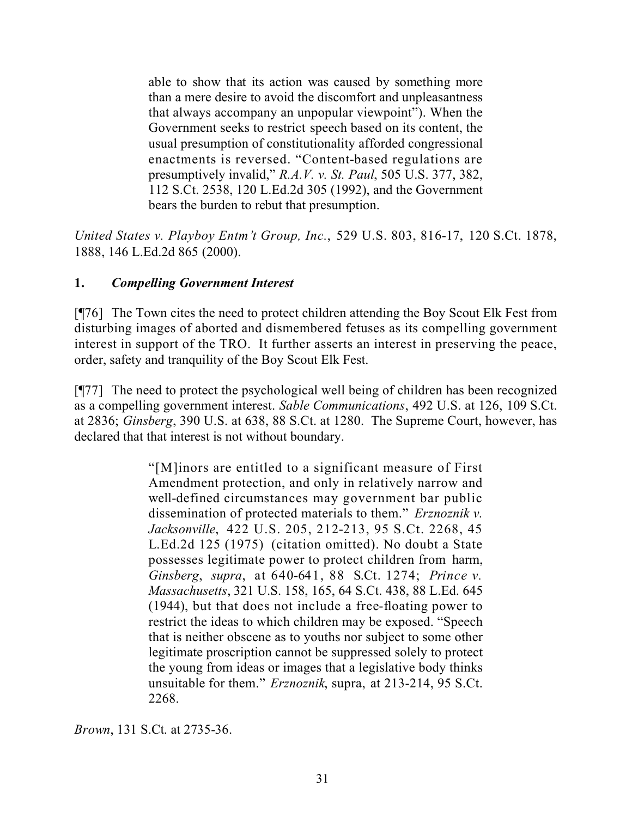able to show that its action was caused by something more than a mere desire to avoid the discomfort and unpleasantness that always accompany an unpopular viewpoint"). When the Government seeks to restrict speech based on its content, the usual presumption of constitutionality afforded congressional enactments is reversed. "Content-based regulations are presumptively invalid," *R.A.V. v. St. Paul*, 505 U.S. 377, 382, 112 S.Ct. 2538, 120 L.Ed.2d 305 (1992), and the Government bears the burden to rebut that presumption.

*United States v. Playboy Entm't Group, Inc.*, 529 U.S. 803, 816-17, 120 S.Ct. 1878, 1888, 146 L.Ed.2d 865 (2000).

## **1.** *Compelling Government Interest*

[¶76] The Town cites the need to protect children attending the Boy Scout Elk Fest from disturbing images of aborted and dismembered fetuses as its compelling government interest in support of the TRO. It further asserts an interest in preserving the peace, order, safety and tranquility of the Boy Scout Elk Fest.

[¶77] The need to protect the psychological well being of children has been recognized as a compelling government interest. *Sable Communications*, 492 U.S. at 126, 109 S.Ct. at 2836; *Ginsberg*, 390 U.S. at 638, 88 S.Ct. at 1280. The Supreme Court, however, has declared that that interest is not without boundary.

> "[M]inors are entitled to a significant measure of First Amendment protection, and only in relatively narrow and well-defined circumstances may government bar public dissemination of protected materials to them." *Erznoznik v. Jacksonville*, 422 U.S. 205, 212-213, 95 S.Ct. 2268, 45 L.Ed.2d 125 (1975) (citation omitted). No doubt a State possesses legitimate power to protect children from harm, *Ginsberg*, *supra*, at 640-641, 88 S.Ct. 1274; *Prince v. Massachusetts*, 321 U.S. 158, 165, 64 S.Ct. 438, 88 L.Ed. 645 (1944), but that does not include a free-floating power to restrict the ideas to which children may be exposed. "Speech that is neither obscene as to youths nor subject to some other legitimate proscription cannot be suppressed solely to protect the young from ideas or images that a legislative body thinks unsuitable for them." *Erznoznik*, supra, at 213-214, 95 S.Ct. 2268.

*Brown*, 131 S.Ct. at 2735-36.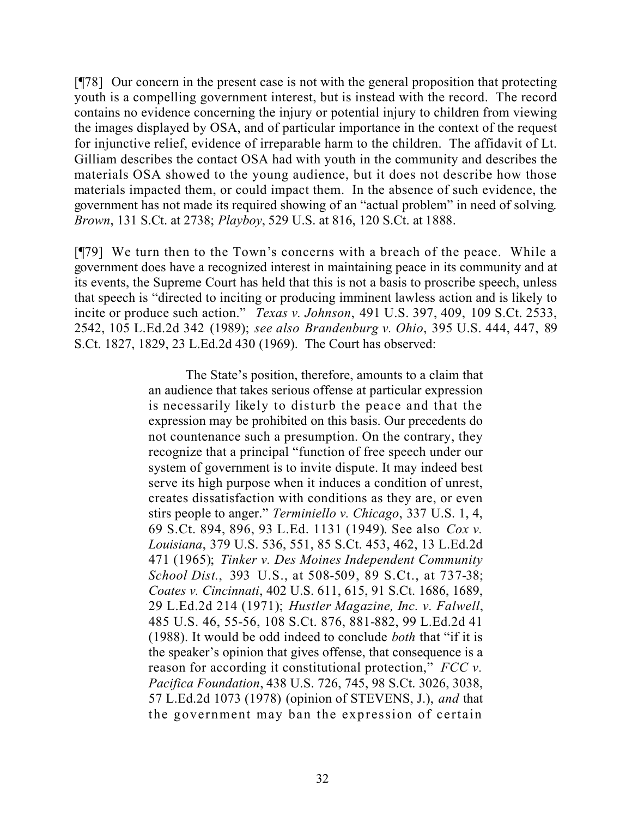[¶78] Our concern in the present case is not with the general proposition that protecting youth is a compelling government interest, but is instead with the record. The record contains no evidence concerning the injury or potential injury to children from viewing the images displayed by OSA, and of particular importance in the context of the request for injunctive relief, evidence of irreparable harm to the children. The affidavit of Lt. Gilliam describes the contact OSA had with youth in the community and describes the materials OSA showed to the young audience, but it does not describe how those materials impacted them, or could impact them. In the absence of such evidence, the government has not made its required showing of an "actual problem" in need of solving. *Brown*, 131 S.Ct. at 2738; *Playboy*, 529 U.S. at 816, 120 S.Ct. at 1888.

[¶79] We turn then to the Town's concerns with a breach of the peace. While a government does have a recognized interest in maintaining peace in its community and at its events, the Supreme Court has held that this is not a basis to proscribe speech, unless that speech is "directed to inciting or producing imminent lawless action and is likely to incite or produce such action." *Texas v. Johnson*, 491 U.S. 397, 409, 109 S.Ct. 2533, 2542, 105 L.Ed.2d 342 (1989); *see also Brandenburg v. Ohio*, 395 U.S. 444, 447, 89 S.Ct. 1827, 1829, 23 L.Ed.2d 430 (1969). The Court has observed:

> The State's position, therefore, amounts to a claim that an audience that takes serious offense at particular expression is necessarily likely to disturb the peace and that the expression may be prohibited on this basis. Our precedents do not countenance such a presumption. On the contrary, they recognize that a principal "function of free speech under our system of government is to invite dispute. It may indeed best serve its high purpose when it induces a condition of unrest, creates dissatisfaction with conditions as they are, or even stirs people to anger." *Terminiello v. Chicago*, 337 U.S. 1, 4, 69 S.Ct. 894, 896, 93 L.Ed. 1131 (1949). See also *Cox v. Louisiana*, 379 U.S. 536, 551, 85 S.Ct. 453, 462, 13 L.Ed.2d 471 (1965); *Tinker v. Des Moines Independent Community School Dist.*, 393 U.S., at 508-509, 89 S.Ct., at 737-38; *Coates v. Cincinnati*, 402 U.S. 611, 615, 91 S.Ct. 1686, 1689, 29 L.Ed.2d 214 (1971); *Hustler Magazine, Inc. v. Falwell*, 485 U.S. 46, 55-56, 108 S.Ct. 876, 881-882, 99 L.Ed.2d 41 (1988). It would be odd indeed to conclude *both* that "if it is the speaker's opinion that gives offense, that consequence is a reason for according it constitutional protection," *FCC v. Pacifica Foundation*, 438 U.S. 726, 745, 98 S.Ct. 3026, 3038, 57 L.Ed.2d 1073 (1978) (opinion of STEVENS, J.), *and* that the government may ban the expression of certain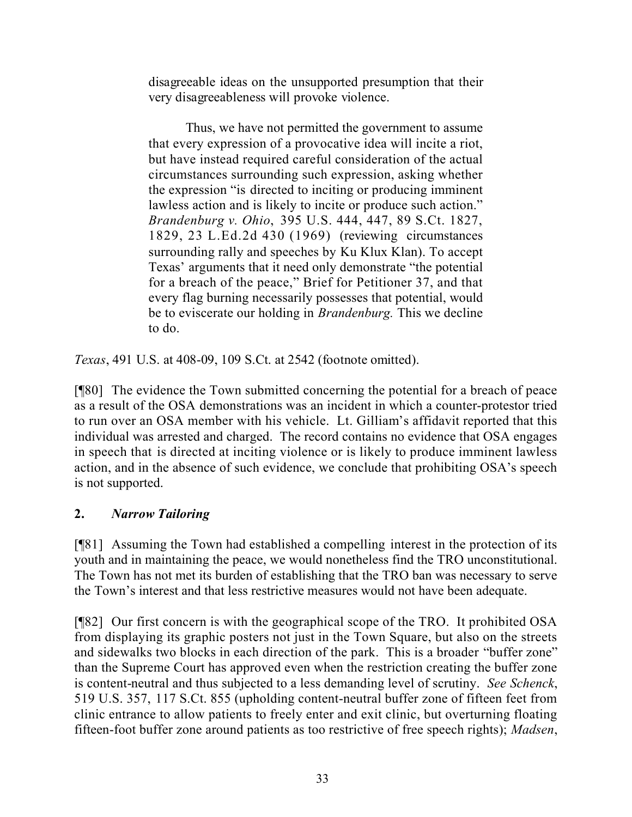disagreeable ideas on the unsupported presumption that their very disagreeableness will provoke violence.

Thus, we have not permitted the government to assume that every expression of a provocative idea will incite a riot, but have instead required careful consideration of the actual circumstances surrounding such expression, asking whether the expression "is directed to inciting or producing imminent lawless action and is likely to incite or produce such action." *Brandenburg v. Ohio*, 395 U.S. 444, 447, 89 S.Ct. 1827, 1829, 23 L.Ed.2d 430 (1969) (reviewing circumstances surrounding rally and speeches by Ku Klux Klan). To accept Texas' arguments that it need only demonstrate "the potential for a breach of the peace," Brief for Petitioner 37, and that every flag burning necessarily possesses that potential, would be to eviscerate our holding in *Brandenburg.* This we decline to do.

*Texas*, 491 U.S. at 408-09, 109 S.Ct. at 2542 (footnote omitted).

[¶80] The evidence the Town submitted concerning the potential for a breach of peace as a result of the OSA demonstrations was an incident in which a counter-protestor tried to run over an OSA member with his vehicle. Lt. Gilliam's affidavit reported that this individual was arrested and charged. The record contains no evidence that OSA engages in speech that is directed at inciting violence or is likely to produce imminent lawless action, and in the absence of such evidence, we conclude that prohibiting OSA's speech is not supported.

## **2.** *Narrow Tailoring*

[¶81] Assuming the Town had established a compelling interest in the protection of its youth and in maintaining the peace, we would nonetheless find the TRO unconstitutional. The Town has not met its burden of establishing that the TRO ban was necessary to serve the Town's interest and that less restrictive measures would not have been adequate.

[¶82] Our first concern is with the geographical scope of the TRO. It prohibited OSA from displaying its graphic posters not just in the Town Square, but also on the streets and sidewalks two blocks in each direction of the park. This is a broader "buffer zone" than the Supreme Court has approved even when the restriction creating the buffer zone is content-neutral and thus subjected to a less demanding level of scrutiny. *See Schenck*, 519 U.S. 357, 117 S.Ct. 855 (upholding content-neutral buffer zone of fifteen feet from clinic entrance to allow patients to freely enter and exit clinic, but overturning floating fifteen-foot buffer zone around patients as too restrictive of free speech rights); *Madsen*,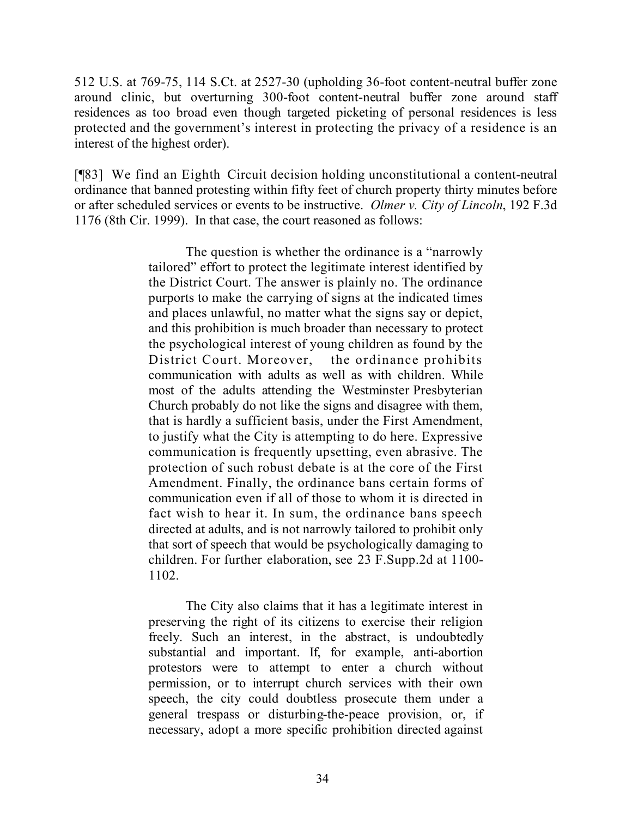512 U.S. at 769-75, 114 S.Ct. at 2527-30 (upholding 36-foot content-neutral buffer zone around clinic, but overturning 300-foot content-neutral buffer zone around staff residences as too broad even though targeted picketing of personal residences is less protected and the government's interest in protecting the privacy of a residence is an interest of the highest order).

[¶83] We find an Eighth Circuit decision holding unconstitutional a content-neutral ordinance that banned protesting within fifty feet of church property thirty minutes before or after scheduled services or events to be instructive. *Olmer v. City of Lincoln*, 192 F.3d 1176 (8th Cir. 1999). In that case, the court reasoned as follows:

> The question is whether the ordinance is a "narrowly tailored" effort to protect the legitimate interest identified by the District Court. The answer is plainly no. The ordinance purports to make the carrying of signs at the indicated times and places unlawful, no matter what the signs say or depict, and this prohibition is much broader than necessary to protect the psychological interest of young children as found by the District Court. Moreover, the ordinance prohibits communication with adults as well as with children. While most of the adults attending the Westminster Presbyterian Church probably do not like the signs and disagree with them, that is hardly a sufficient basis, under the First Amendment, to justify what the City is attempting to do here. Expressive communication is frequently upsetting, even abrasive. The protection of such robust debate is at the core of the First Amendment. Finally, the ordinance bans certain forms of communication even if all of those to whom it is directed in fact wish to hear it. In sum, the ordinance bans speech directed at adults, and is not narrowly tailored to prohibit only that sort of speech that would be psychologically damaging to children. For further elaboration, see 23 F.Supp.2d at 1100- 1102.

> The City also claims that it has a legitimate interest in preserving the right of its citizens to exercise their religion freely. Such an interest, in the abstract, is undoubtedly substantial and important. If, for example, anti-abortion protestors were to attempt to enter a church without permission, or to interrupt church services with their own speech, the city could doubtless prosecute them under a general trespass or disturbing-the-peace provision, or, if necessary, adopt a more specific prohibition directed against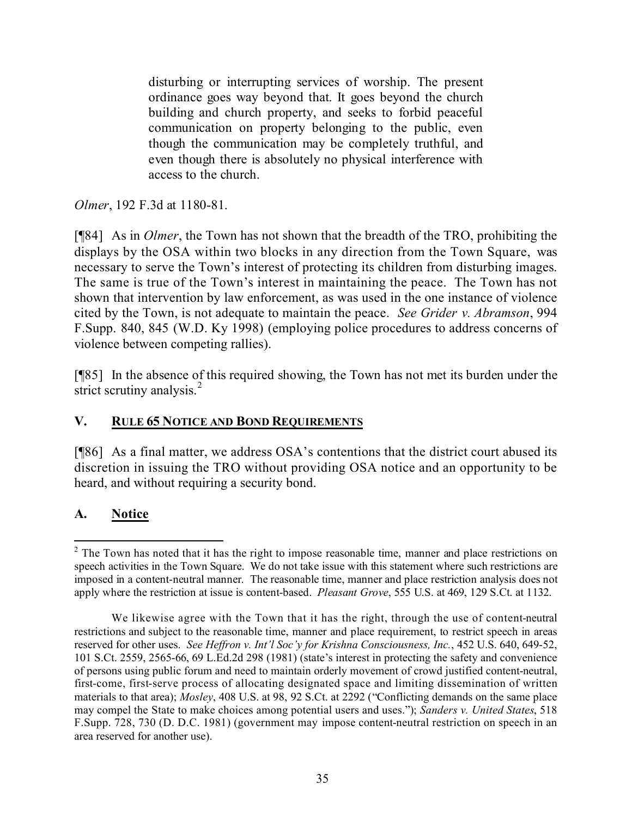disturbing or interrupting services of worship. The present ordinance goes way beyond that. It goes beyond the church building and church property, and seeks to forbid peaceful communication on property belonging to the public, even though the communication may be completely truthful, and even though there is absolutely no physical interference with access to the church.

*Olmer*, 192 F.3d at 1180-81.

[¶84] As in *Olmer*, the Town has not shown that the breadth of the TRO, prohibiting the displays by the OSA within two blocks in any direction from the Town Square, was necessary to serve the Town's interest of protecting its children from disturbing images. The same is true of the Town's interest in maintaining the peace. The Town has not shown that intervention by law enforcement, as was used in the one instance of violence cited by the Town, is not adequate to maintain the peace. *See Grider v. Abramson*, 994 F.Supp. 840, 845 (W.D. Ky 1998) (employing police procedures to address concerns of violence between competing rallies).

[¶85] In the absence of this required showing, the Town has not met its burden under the strict scrutiny analysis. $^{2}$ 

## **V. RULE 65 NOTICE AND BOND REQUIREMENTS**

[¶86] As a final matter, we address OSA's contentions that the district court abused its discretion in issuing the TRO without providing OSA notice and an opportunity to be heard, and without requiring a security bond.

# **A. Notice**

 $\overline{a}$  $2$  The Town has noted that it has the right to impose reasonable time, manner and place restrictions on speech activities in the Town Square. We do not take issue with this statement where such restrictions are imposed in a content-neutral manner. The reasonable time, manner and place restriction analysis does not apply where the restriction at issue is content-based. *Pleasant Grove*, 555 U.S. at 469, 129 S.Ct. at 1132.

We likewise agree with the Town that it has the right, through the use of content-neutral restrictions and subject to the reasonable time, manner and place requirement, to restrict speech in areas reserved for other uses. *See Heffron v. Int'l Soc'y for Krishna Consciousness, Inc.*, 452 U.S. 640, 649-52, 101 S.Ct. 2559, 2565-66, 69 L.Ed.2d 298 (1981) (state's interest in protecting the safety and convenience of persons using public forum and need to maintain orderly movement of crowd justified content-neutral, first-come, first-serve process of allocating designated space and limiting dissemination of written materials to that area); *Mosley*, 408 U.S. at 98, 92 S.Ct. at 2292 ("Conflicting demands on the same place may compel the State to make choices among potential users and uses."); *Sanders v. United States*, 518 F.Supp. 728, 730 (D. D.C. 1981) (government may impose content-neutral restriction on speech in an area reserved for another use).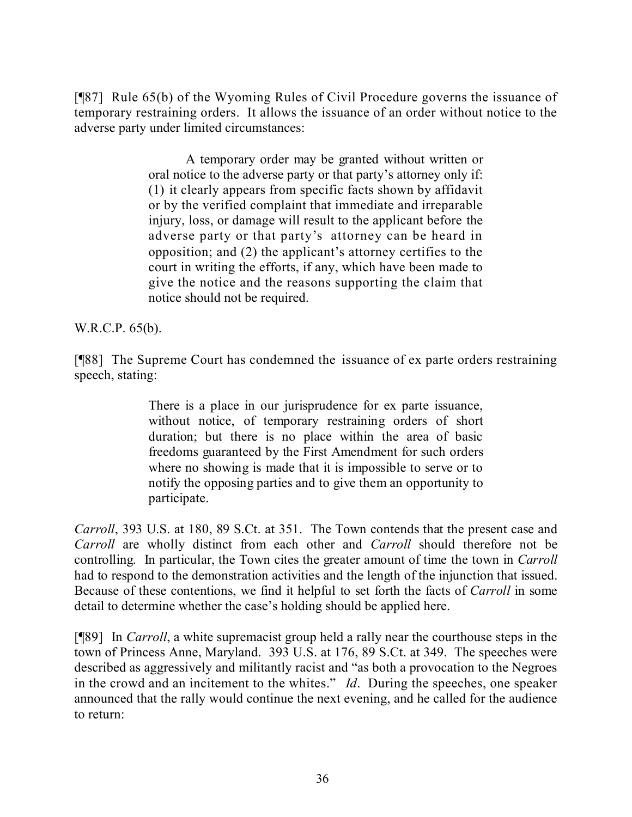[¶87] Rule 65(b) of the Wyoming Rules of Civil Procedure governs the issuance of temporary restraining orders. It allows the issuance of an order without notice to the adverse party under limited circumstances:

> A temporary order may be granted without written or oral notice to the adverse party or that party's attorney only if: (1) it clearly appears from specific facts shown by affidavit or by the verified complaint that immediate and irreparable injury, loss, or damage will result to the applicant before the adverse party or that party's attorney can be heard in opposition; and (2) the applicant's attorney certifies to the court in writing the efforts, if any, which have been made to give the notice and the reasons supporting the claim that notice should not be required.

W.R.C.P. 65(b).

[¶88] The Supreme Court has condemned the issuance of ex parte orders restraining speech, stating:

> There is a place in our jurisprudence for ex parte issuance, without notice, of temporary restraining orders of short duration; but there is no place within the area of basic freedoms guaranteed by the First Amendment for such orders where no showing is made that it is impossible to serve or to notify the opposing parties and to give them an opportunity to participate.

*Carroll*, 393 U.S. at 180, 89 S.Ct. at 351. The Town contends that the present case and *Carroll* are wholly distinct from each other and *Carroll* should therefore not be controlling. In particular, the Town cites the greater amount of time the town in *Carroll* had to respond to the demonstration activities and the length of the injunction that issued. Because of these contentions, we find it helpful to set forth the facts of *Carroll* in some detail to determine whether the case's holding should be applied here.

[¶89] In *Carroll*, a white supremacist group held a rally near the courthouse steps in the town of Princess Anne, Maryland. 393 U.S. at 176, 89 S.Ct. at 349. The speeches were described as aggressively and militantly racist and "as both a provocation to the Negroes in the crowd and an incitement to the whites." *Id*. During the speeches, one speaker announced that the rally would continue the next evening, and he called for the audience to return: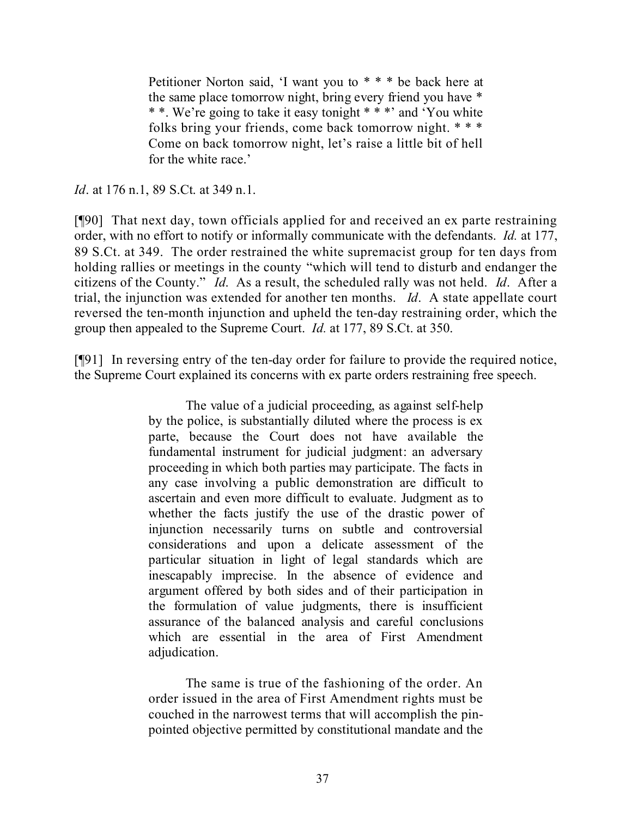Petitioner Norton said, 'I want you to \* \* \* be back here at the same place tomorrow night, bring every friend you have \* \* \*. We're going to take it easy tonight \* \* \*' and 'You white folks bring your friends, come back tomorrow night. \* \* \* Come on back tomorrow night, let's raise a little bit of hell for the white race.'

*Id.* at 176 n.1, 89 S.Ct. at 349 n.1.

[¶90] That next day, town officials applied for and received an ex parte restraining order, with no effort to notify or informally communicate with the defendants. *Id.* at 177, 89 S.Ct. at 349. The order restrained the white supremacist group for ten days from holding rallies or meetings in the county "which will tend to disturb and endanger the citizens of the County." *Id*. As a result, the scheduled rally was not held. *Id*. After a trial, the injunction was extended for another ten months. *Id*. A state appellate court reversed the ten-month injunction and upheld the ten-day restraining order, which the group then appealed to the Supreme Court. *Id.* at 177, 89 S.Ct. at 350.

[¶91] In reversing entry of the ten-day order for failure to provide the required notice, the Supreme Court explained its concerns with ex parte orders restraining free speech.

> The value of a judicial proceeding, as against self-help by the police, is substantially diluted where the process is ex parte, because the Court does not have available the fundamental instrument for judicial judgment: an adversary proceeding in which both parties may participate. The facts in any case involving a public demonstration are difficult to ascertain and even more difficult to evaluate. Judgment as to whether the facts justify the use of the drastic power of injunction necessarily turns on subtle and controversial considerations and upon a delicate assessment of the particular situation in light of legal standards which are inescapably imprecise. In the absence of evidence and argument offered by both sides and of their participation in the formulation of value judgments, there is insufficient assurance of the balanced analysis and careful conclusions which are essential in the area of First Amendment adjudication.

> The same is true of the fashioning of the order. An order issued in the area of First Amendment rights must be couched in the narrowest terms that will accomplish the pinpointed objective permitted by constitutional mandate and the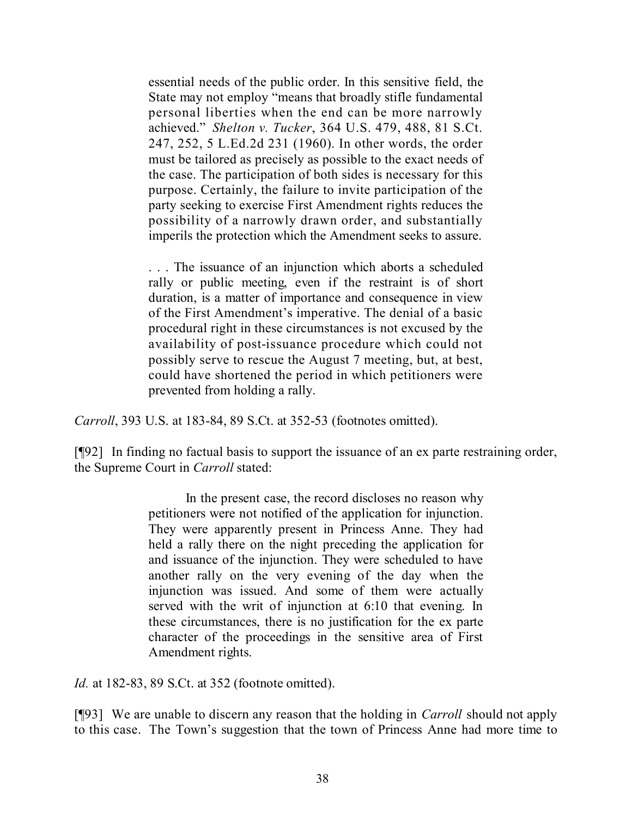essential needs of the public order. In this sensitive field, the State may not employ "means that broadly stifle fundamental personal liberties when the end can be more narrowly achieved." *Shelton v. Tucker*, 364 U.S. 479, 488, 81 S.Ct. 247, 252, 5 L.Ed.2d 231 (1960). In other words, the order must be tailored as precisely as possible to the exact needs of the case. The participation of both sides is necessary for this purpose. Certainly, the failure to invite participation of the party seeking to exercise First Amendment rights reduces the possibility of a narrowly drawn order, and substantially imperils the protection which the Amendment seeks to assure.

. . . The issuance of an injunction which aborts a scheduled rally or public meeting, even if the restraint is of short duration, is a matter of importance and consequence in view of the First Amendment's imperative. The denial of a basic procedural right in these circumstances is not excused by the availability of post-issuance procedure which could not possibly serve to rescue the August 7 meeting, but, at best, could have shortened the period in which petitioners were prevented from holding a rally.

*Carroll*, 393 U.S. at 183-84, 89 S.Ct. at 352-53 (footnotes omitted).

[¶92] In finding no factual basis to support the issuance of an ex parte restraining order, the Supreme Court in *Carroll* stated:

> In the present case, the record discloses no reason why petitioners were not notified of the application for injunction. They were apparently present in Princess Anne. They had held a rally there on the night preceding the application for and issuance of the injunction. They were scheduled to have another rally on the very evening of the day when the injunction was issued. And some of them were actually served with the writ of injunction at 6:10 that evening. In these circumstances, there is no justification for the ex parte character of the proceedings in the sensitive area of First Amendment rights.

*Id.* at 182-83, 89 S.Ct. at 352 (footnote omitted).

[¶93] We are unable to discern any reason that the holding in *Carroll* should not apply to this case. The Town's suggestion that the town of Princess Anne had more time to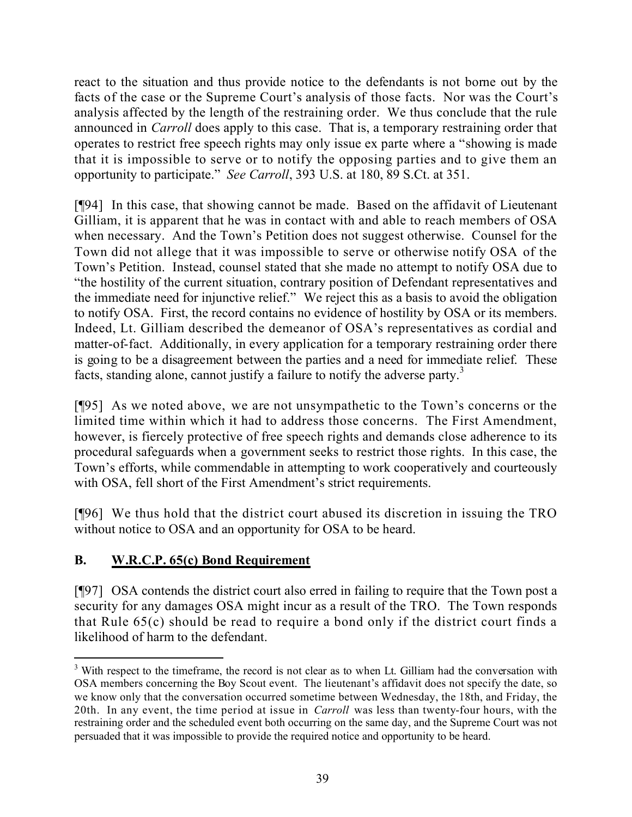react to the situation and thus provide notice to the defendants is not borne out by the facts of the case or the Supreme Court's analysis of those facts. Nor was the Court's analysis affected by the length of the restraining order. We thus conclude that the rule announced in *Carroll* does apply to this case. That is, a temporary restraining order that operates to restrict free speech rights may only issue ex parte where a "showing is made that it is impossible to serve or to notify the opposing parties and to give them an opportunity to participate." *See Carroll*, 393 U.S. at 180, 89 S.Ct. at 351.

[¶94] In this case, that showing cannot be made. Based on the affidavit of Lieutenant Gilliam, it is apparent that he was in contact with and able to reach members of OSA when necessary. And the Town's Petition does not suggest otherwise. Counsel for the Town did not allege that it was impossible to serve or otherwise notify OSA of the Town's Petition. Instead, counsel stated that she made no attempt to notify OSA due to "the hostility of the current situation, contrary position of Defendant representatives and the immediate need for injunctive relief." We reject this as a basis to avoid the obligation to notify OSA. First, the record contains no evidence of hostility by OSA or its members. Indeed, Lt. Gilliam described the demeanor of OSA's representatives as cordial and matter-of-fact. Additionally, in every application for a temporary restraining order there is going to be a disagreement between the parties and a need for immediate relief. These facts, standing alone, cannot justify a failure to notify the adverse party.<sup>3</sup>

[¶95] As we noted above, we are not unsympathetic to the Town's concerns or the limited time within which it had to address those concerns. The First Amendment, however, is fiercely protective of free speech rights and demands close adherence to its procedural safeguards when a government seeks to restrict those rights. In this case, the Town's efforts, while commendable in attempting to work cooperatively and courteously with OSA, fell short of the First Amendment's strict requirements.

[¶96] We thus hold that the district court abused its discretion in issuing the TRO without notice to OSA and an opportunity for OSA to be heard.

# **B. W.R.C.P. 65(c) Bond Requirement**

[¶97] OSA contends the district court also erred in failing to require that the Town post a security for any damages OSA might incur as a result of the TRO. The Town responds that Rule 65(c) should be read to require a bond only if the district court finds a likelihood of harm to the defendant.

 $3$  With respect to the timeframe, the record is not clear as to when Lt. Gilliam had the conversation with OSA members concerning the Boy Scout event. The lieutenant's affidavit does not specify the date, so we know only that the conversation occurred sometime between Wednesday, the 18th, and Friday, the 20th. In any event, the time period at issue in *Carroll* was less than twenty-four hours, with the restraining order and the scheduled event both occurring on the same day, and the Supreme Court was not persuaded that it was impossible to provide the required notice and opportunity to be heard.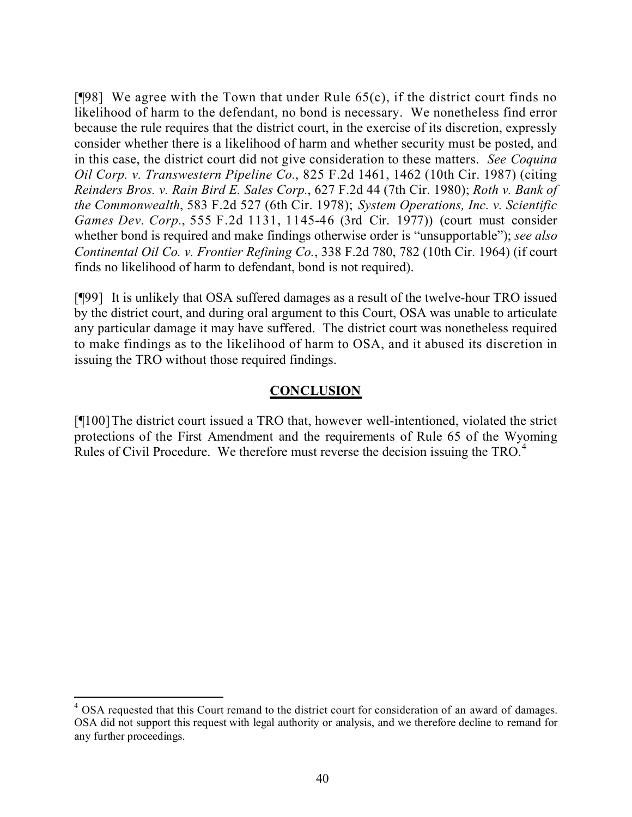[ $[98]$ ] We agree with the Town that under Rule  $65(c)$ , if the district court finds no likelihood of harm to the defendant, no bond is necessary. We nonetheless find error because the rule requires that the district court, in the exercise of its discretion, expressly consider whether there is a likelihood of harm and whether security must be posted, and in this case, the district court did not give consideration to these matters. *See Coquina Oil Corp. v. Transwestern Pipeline Co.*, 825 F.2d 1461, 1462 (10th Cir. 1987) (citing *Reinders Bros. v. Rain Bird E. Sales Corp.*, 627 F.2d 44 (7th Cir. 1980); *Roth v. Bank of the Commonwealth*, 583 F.2d 527 (6th Cir. 1978); *System Operations, Inc. v. Scientific Games Dev. Corp.*, 555 F.2d 1131, 1145-46 (3rd Cir. 1977)) (court must consider whether bond is required and make findings otherwise order is "unsupportable"); *see also Continental Oil Co. v. Frontier Refining Co.*, 338 F.2d 780, 782 (10th Cir. 1964) (if court finds no likelihood of harm to defendant, bond is not required).

[¶99] It is unlikely that OSA suffered damages as a result of the twelve-hour TRO issued by the district court, and during oral argument to this Court, OSA was unable to articulate any particular damage it may have suffered. The district court was nonetheless required to make findings as to the likelihood of harm to OSA, and it abused its discretion in issuing the TRO without those required findings.

### **CONCLUSION**

[¶100]The district court issued a TRO that, however well-intentioned, violated the strict protections of the First Amendment and the requirements of Rule 65 of the Wyoming Rules of Civil Procedure. We therefore must reverse the decision issuing the TRO.<sup>4</sup>

<sup>&</sup>lt;sup>4</sup> OSA requested that this Court remand to the district court for consideration of an award of damages. OSA did not support this request with legal authority or analysis, and we therefore decline to remand for any further proceedings.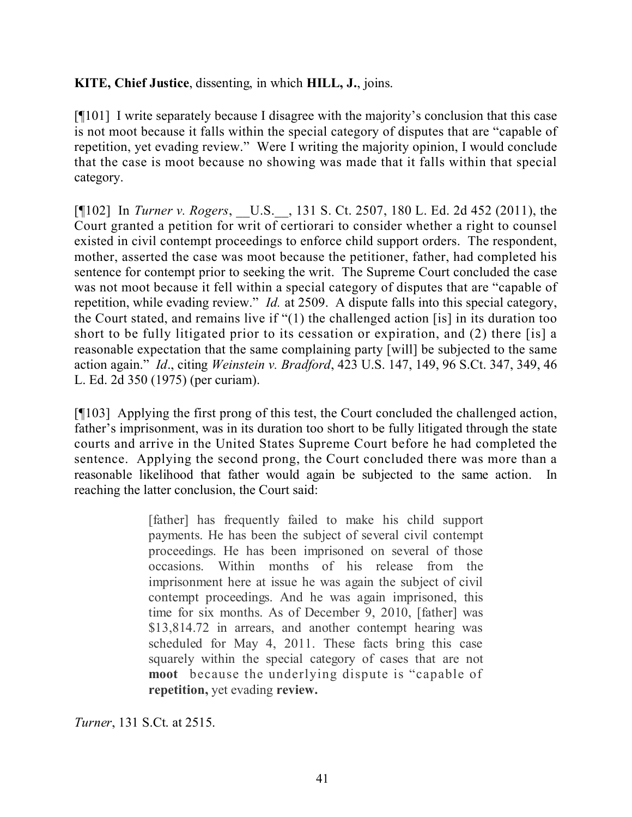### **KITE, Chief Justice**, dissenting, in which **HILL, J.**, joins.

[¶101] I write separately because I disagree with the majority's conclusion that this case is not moot because it falls within the special category of disputes that are "capable of repetition, yet evading review." Were I writing the majority opinion, I would conclude that the case is moot because no showing was made that it falls within that special category.

[¶102] In *Turner v. Rogers*, \_\_U.S.\_\_, 131 S. Ct. 2507, 180 L. Ed. 2d 452 (2011), the Court granted a petition for writ of certiorari to consider whether a right to counsel existed in civil contempt proceedings to enforce child support orders. The respondent, mother, asserted the case was moot because the petitioner, father, had completed his sentence for contempt prior to seeking the writ. The Supreme Court concluded the case was not moot because it fell within a special category of disputes that are "capable of repetition, while evading review." *Id.* at 2509. A dispute falls into this special category, the Court stated, and remains live if "(1) the challenged action [is] in its duration too short to be fully litigated prior to its cessation or expiration, and (2) there [is] a reasonable expectation that the same complaining party [will] be subjected to the same action again." *Id*., citing *Weinstein v. Bradford*, 423 U.S. 147, 149, 96 S.Ct. 347, 349, 46 L. Ed. 2d 350 (1975) (per curiam).

[¶103] Applying the first prong of this test, the Court concluded the challenged action, father's imprisonment, was in its duration too short to be fully litigated through the state courts and arrive in the United States Supreme Court before he had completed the sentence. Applying the second prong, the Court concluded there was more than a reasonable likelihood that father would again be subjected to the same action. In reaching the latter conclusion, the Court said:

> [father] has frequently failed to make his child support payments. He has been the subject of several civil contempt proceedings. He has been imprisoned on several of those occasions. Within months of his release from the imprisonment here at issue he was again the subject of civil contempt proceedings. And he was again imprisoned, this time for six months. As of December 9, 2010, [father] was \$13,814.72 in arrears, and another contempt hearing was scheduled for May 4, 2011. These facts bring this case squarely within the special category of cases that are not **moot** because the underlying dispute is "capable of **repetition,** yet evading **review.**

*Turner*, 131 S.Ct. at 2515.